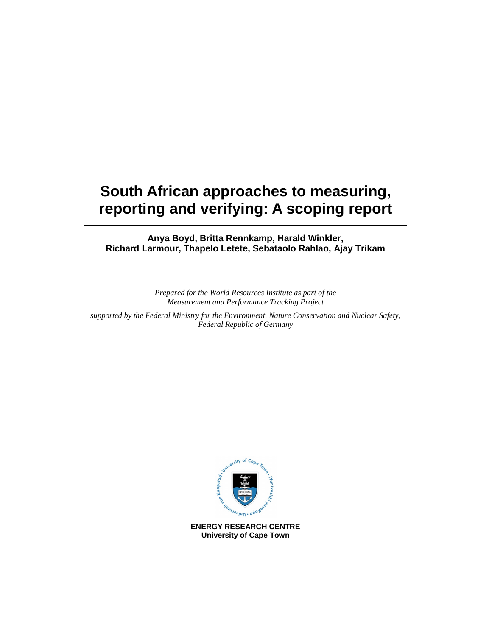# **South African approaches to measuring, reporting and verifying: A scoping report**

**Anya Boyd, Britta Rennkamp, Harald Winkler, Richard Larmour, Thapelo Letete, Sebataolo Rahlao, Ajay Trikam** 

> *Prepared for the World Resources Institute as part of the Measurement and Performance Tracking Project*

*supported by the Federal Ministry for the Environment, Nature Conservation and Nuclear Safety, Federal Republic of Germany* 



**ENERGY RESEARCH CENTRE University of Cape Town**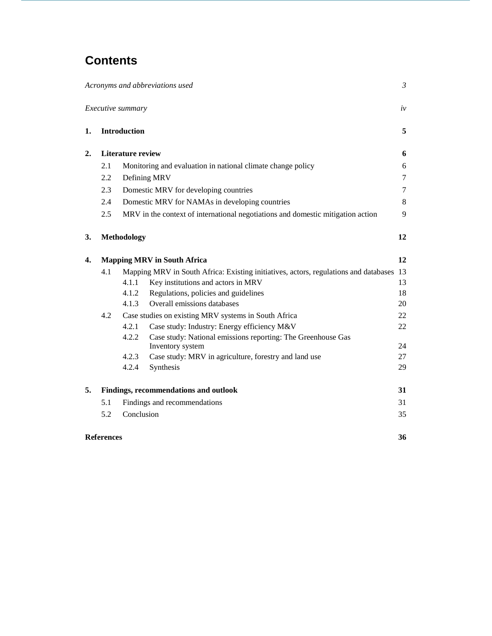# **Contents**

|                  |                                    |                          | Acronyms and abbreviations used                                                         | $\mathfrak{Z}$ |
|------------------|------------------------------------|--------------------------|-----------------------------------------------------------------------------------------|----------------|
|                  |                                    | Executive summary        |                                                                                         | iv             |
| 1.               |                                    | <b>Introduction</b>      |                                                                                         | 5              |
| $\overline{2}$ . |                                    | <b>Literature review</b> |                                                                                         | 6              |
|                  | 2.1                                |                          | Monitoring and evaluation in national climate change policy                             | 6              |
|                  | 2.2                                |                          | Defining MRV                                                                            | $\overline{7}$ |
|                  | 2.3                                |                          | Domestic MRV for developing countries                                                   | $\tau$         |
|                  | 2.4                                |                          | Domestic MRV for NAMAs in developing countries                                          | 8              |
|                  | 2.5                                |                          | MRV in the context of international negotiations and domestic mitigation action         | 9              |
| 3.               |                                    | <b>Methodology</b>       |                                                                                         | 12             |
| 4.               | <b>Mapping MRV in South Africa</b> |                          | 12                                                                                      |                |
|                  | 4.1                                |                          | Mapping MRV in South Africa: Existing initiatives, actors, regulations and databases 13 |                |
|                  |                                    | 4.1.1                    | Key institutions and actors in MRV                                                      | 13             |
|                  |                                    | 4.1.2                    | Regulations, policies and guidelines                                                    | 18             |
|                  |                                    | 4.1.3                    | Overall emissions databases                                                             | 20             |
|                  | 4.2                                |                          | Case studies on existing MRV systems in South Africa                                    | 22             |
|                  |                                    | 4.2.1                    | Case study: Industry: Energy efficiency M&V                                             | 22             |
|                  |                                    | 4.2.2                    | Case study: National emissions reporting: The Greenhouse Gas                            | 24             |
|                  |                                    | 4.2.3                    | Inventory system<br>Case study: MRV in agriculture, forestry and land use               | 27             |
|                  |                                    | 4.2.4                    | Synthesis                                                                               | 29             |
|                  |                                    |                          |                                                                                         |                |
| 5.               |                                    |                          | Findings, recommendations and outlook                                                   | 31             |
|                  | 5.1                                |                          | Findings and recommendations                                                            | 31             |
|                  | 5.2                                | Conclusion               |                                                                                         | 35             |
|                  | <b>References</b><br>36            |                          |                                                                                         |                |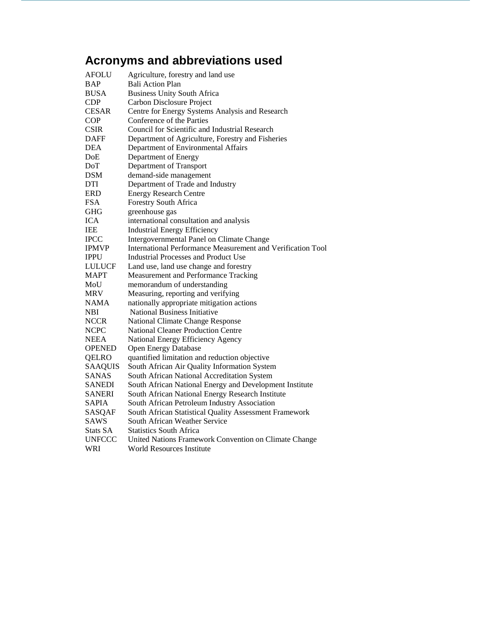# **Acronyms and abbreviations used**

| AFOLU          | Agriculture, forestry and land use                          |
|----------------|-------------------------------------------------------------|
| <b>BAP</b>     | <b>Bali Action Plan</b>                                     |
| <b>BUSA</b>    | <b>Business Unity South Africa</b>                          |
| <b>CDP</b>     | Carbon Disclosure Project                                   |
| <b>CESAR</b>   | Centre for Energy Systems Analysis and Research             |
| COP            | Conference of the Parties                                   |
| <b>CSIR</b>    | Council for Scientific and Industrial Research              |
| <b>DAFF</b>    | Department of Agriculture, Forestry and Fisheries           |
| DEA            | Department of Environmental Affairs                         |
| DoE            | Department of Energy                                        |
| DoT            | Department of Transport                                     |
| <b>DSM</b>     | demand-side management                                      |
| DTI            | Department of Trade and Industry                            |
| ERD            | <b>Energy Research Centre</b>                               |
| <b>FSA</b>     | Forestry South Africa                                       |
| <b>GHG</b>     | greenhouse gas                                              |
| <b>ICA</b>     | international consultation and analysis                     |
| <b>IEE</b>     | <b>Industrial Energy Efficiency</b>                         |
| <b>IPCC</b>    | Intergovernmental Panel on Climate Change                   |
| <b>IPMVP</b>   | International Performance Measurement and Verification Tool |
| <b>IPPU</b>    | <b>Industrial Processes and Product Use</b>                 |
| <b>LULUCF</b>  | Land use, land use change and forestry                      |
| <b>MAPT</b>    | Measurement and Performance Tracking                        |
| MoU            | memorandum of understanding                                 |
| <b>MRV</b>     | Measuring, reporting and verifying                          |
| <b>NAMA</b>    | nationally appropriate mitigation actions                   |
| NBI            | <b>National Business Initiative</b>                         |
| <b>NCCR</b>    | National Climate Change Response                            |
| <b>NCPC</b>    | National Cleaner Production Centre                          |
| <b>NEEA</b>    | National Energy Efficiency Agency                           |
| <b>OPENED</b>  | <b>Open Energy Database</b>                                 |
| QELRO          | quantified limitation and reduction objective               |
| <b>SAAQUIS</b> | South African Air Quality Information System                |
| <b>SANAS</b>   | South African National Accreditation System                 |
| <b>SANEDI</b>  | South African National Energy and Development Institute     |
| <b>SANERI</b>  | South African National Energy Research Institute            |
| <b>SAPIA</b>   | South African Petroleum Industry Association                |
| <b>SASQAF</b>  | South African Statistical Quality Assessment Framework      |
| SAWS           | South African Weather Service                               |
| Stats SA       | <b>Statistics South Africa</b>                              |
| <b>UNFCCC</b>  | United Nations Framework Convention on Climate Change       |
| WRI            | <b>World Resources Institute</b>                            |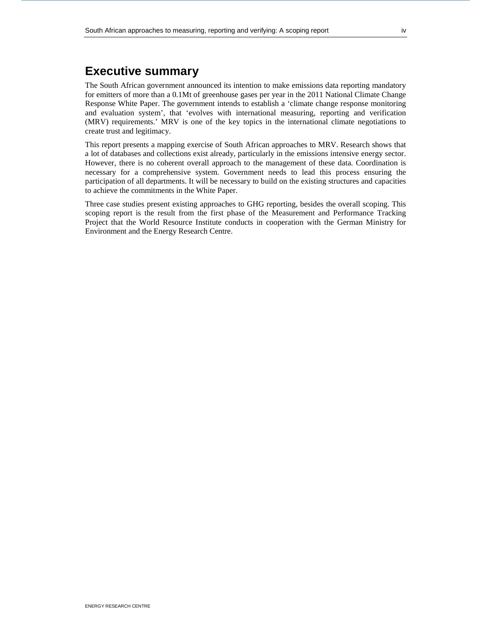# **Executive summary**

The South African government announced its intention to make emissions data reporting mandatory for emitters of more than a 0.1Mt of greenhouse gases per year in the 2011 National Climate Change Response White Paper. The government intends to establish a 'climate change response monitoring and evaluation system', that 'evolves with international measuring, reporting and verification (MRV) requirements.' MRV is one of the key topics in the international climate negotiations to create trust and legitimacy.

This report presents a mapping exercise of South African approaches to MRV. Research shows that a lot of databases and collections exist already, particularly in the emissions intensive energy sector. However, there is no coherent overall approach to the management of these data. Coordination is necessary for a comprehensive system. Government needs to lead this process ensuring the participation of all departments. It will be necessary to build on the existing structures and capacities to achieve the commitments in the White Paper.

Three case studies present existing approaches to GHG reporting, besides the overall scoping. This scoping report is the result from the first phase of the Measurement and Performance Tracking Project that the World Resource Institute conducts in cooperation with the German Ministry for Environment and the Energy Research Centre.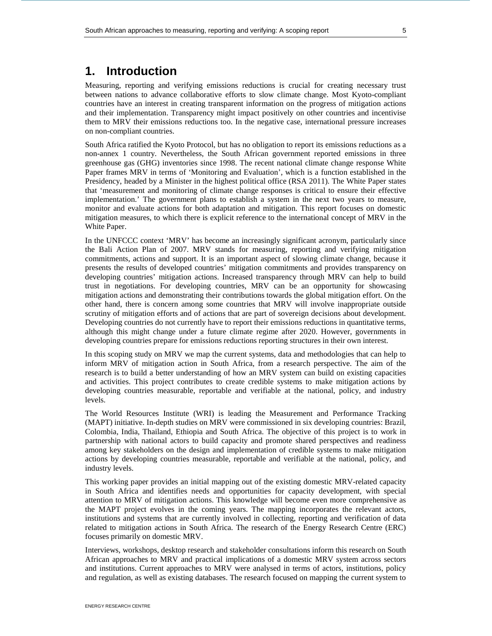# **1. Introduction**

Measuring, reporting and verifying emissions reductions is crucial for creating necessary trust between nations to advance collaborative efforts to slow climate change. Most Kyoto-compliant countries have an interest in creating transparent information on the progress of mitigation actions and their implementation. Transparency might impact positively on other countries and incentivise them to MRV their emissions reductions too. In the negative case, international pressure increases on non-compliant countries.

South Africa ratified the Kyoto Protocol, but has no obligation to report its emissions reductions as a non-annex 1 country. Nevertheless, the South African government reported emissions in three greenhouse gas (GHG) inventories since 1998. The recent national climate change response White Paper frames MRV in terms of 'Monitoring and Evaluation', which is a function established in the Presidency, headed by a Minister in the highest political office (RSA 2011). The White Paper states that 'measurement and monitoring of climate change responses is critical to ensure their effective implementation.' The government plans to establish a system in the next two years to measure, monitor and evaluate actions for both adaptation and mitigation. This report focuses on domestic mitigation measures, to which there is explicit reference to the international concept of MRV in the White Paper.

In the UNFCCC context 'MRV' has become an increasingly significant acronym, particularly since the Bali Action Plan of 2007. MRV stands for measuring, reporting and verifying mitigation commitments, actions and support. It is an important aspect of slowing climate change, because it presents the results of developed countries' mitigation commitments and provides transparency on developing countries' mitigation actions. Increased transparency through MRV can help to build trust in negotiations. For developing countries, MRV can be an opportunity for showcasing mitigation actions and demonstrating their contributions towards the global mitigation effort. On the other hand, there is concern among some countries that MRV will involve inappropriate outside scrutiny of mitigation efforts and of actions that are part of sovereign decisions about development. Developing countries do not currently have to report their emissions reductions in quantitative terms, although this might change under a future climate regime after 2020. However, governments in developing countries prepare for emissions reductions reporting structures in their own interest.

In this scoping study on MRV we map the current systems, data and methodologies that can help to inform MRV of mitigation action in South Africa, from a research perspective. The aim of the research is to build a better understanding of how an MRV system can build on existing capacities and activities. This project contributes to create credible systems to make mitigation actions by developing countries measurable, reportable and verifiable at the national, policy, and industry levels.

The World Resources Institute (WRI) is leading the Measurement and Performance Tracking (MAPT) initiative. In-depth studies on MRV were commissioned in six developing countries: Brazil, Colombia, India, Thailand, Ethiopia and South Africa. The objective of this project is to work in partnership with national actors to build capacity and promote shared perspectives and readiness among key stakeholders on the design and implementation of credible systems to make mitigation actions by developing countries measurable, reportable and verifiable at the national, policy, and industry levels.

This working paper provides an initial mapping out of the existing domestic MRV-related capacity in South Africa and identifies needs and opportunities for capacity development, with special attention to MRV of mitigation actions. This knowledge will become even more comprehensive as the MAPT project evolves in the coming years. The mapping incorporates the relevant actors, institutions and systems that are currently involved in collecting, reporting and verification of data related to mitigation actions in South Africa. The research of the Energy Research Centre (ERC) focuses primarily on domestic MRV.

Interviews, workshops, desktop research and stakeholder consultations inform this research on South African approaches to MRV and practical implications of a domestic MRV system across sectors and institutions. Current approaches to MRV were analysed in terms of actors, institutions, policy and regulation, as well as existing databases. The research focused on mapping the current system to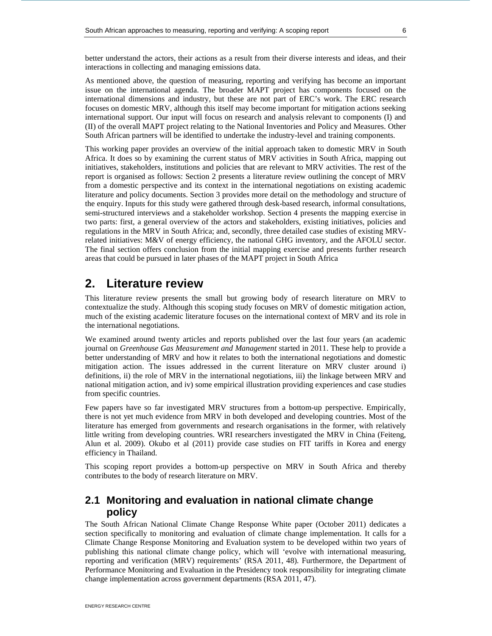better understand the actors, their actions as a result from their diverse interests and ideas, and their interactions in collecting and managing emissions data.

As mentioned above, the question of measuring, reporting and verifying has become an important issue on the international agenda. The broader MAPT project has components focused on the international dimensions and industry, but these are not part of ERC's work. The ERC research focuses on domestic MRV, although this itself may become important for mitigation actions seeking international support. Our input will focus on research and analysis relevant to components (I) and (II) of the overall MAPT project relating to the National Inventories and Policy and Measures. Other South African partners will be identified to undertake the industry-level and training components.

This working paper provides an overview of the initial approach taken to domestic MRV in South Africa. It does so by examining the current status of MRV activities in South Africa, mapping out initiatives, stakeholders, institutions and policies that are relevant to MRV activities. The rest of the report is organised as follows: Section 2 presents a literature review outlining the concept of MRV from a domestic perspective and its context in the international negotiations on existing academic literature and policy documents. Section 3 provides more detail on the methodology and structure of the enquiry. Inputs for this study were gathered through desk-based research, informal consultations, semi-structured interviews and a stakeholder workshop. Section 4 presents the mapping exercise in two parts: first, a general overview of the actors and stakeholders, existing initiatives, policies and regulations in the MRV in South Africa; and, secondly, three detailed case studies of existing MRVrelated initiatives: M&V of energy efficiency, the national GHG inventory, and the AFOLU sector. The final section offers conclusion from the initial mapping exercise and presents further research areas that could be pursued in later phases of the MAPT project in South Africa

# **2. Literature review**

This literature review presents the small but growing body of research literature on MRV to contextualize the study. Although this scoping study focuses on MRV of domestic mitigation action, much of the existing academic literature focuses on the international context of MRV and its role in the international negotiations.

We examined around twenty articles and reports published over the last four years (an academic journal on *Greenhouse Gas Measurement and Management* started in 2011. These help to provide a better understanding of MRV and how it relates to both the international negotiations and domestic mitigation action. The issues addressed in the current literature on MRV cluster around i) definitions, ii) the role of MRV in the international negotiations, iii) the linkage between MRV and national mitigation action, and iv) some empirical illustration providing experiences and case studies from specific countries.

Few papers have so far investigated MRV structures from a bottom-up perspective. Empirically, there is not yet much evidence from MRV in both developed and developing countries. Most of the literature has emerged from governments and research organisations in the former, with relatively little writing from developing countries. WRI researchers investigated the MRV in China (Feiteng, Alun et al. 2009). Okubo et al (2011) provide case studies on FIT tariffs in Korea and energy efficiency in Thailand.

This scoping report provides a bottom-up perspective on MRV in South Africa and thereby contributes to the body of research literature on MRV.

# **2.1 Monitoring and evaluation in national climate change policy**

The South African National Climate Change Response White paper (October 2011) dedicates a section specifically to monitoring and evaluation of climate change implementation. It calls for a Climate Change Response Monitoring and Evaluation system to be developed within two years of publishing this national climate change policy, which will 'evolve with international measuring, reporting and verification (MRV) requirements' (RSA 2011, 48). Furthermore, the Department of Performance Monitoring and Evaluation in the Presidency took responsibility for integrating climate change implementation across government departments (RSA 2011, 47).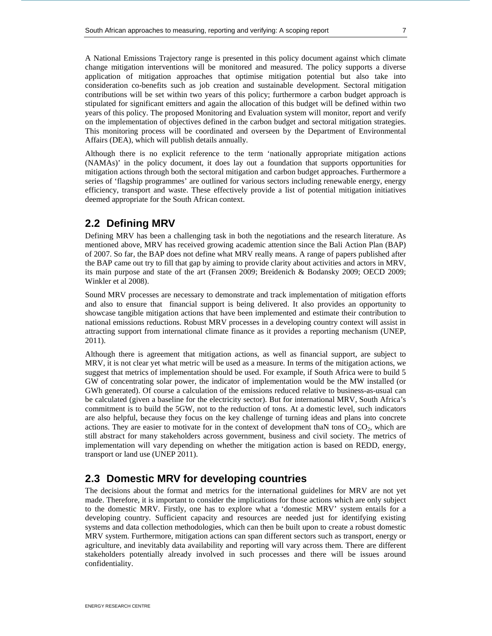A National Emissions Trajectory range is presented in this policy document against which climate change mitigation interventions will be monitored and measured. The policy supports a diverse application of mitigation approaches that optimise mitigation potential but also take into consideration co-benefits such as job creation and sustainable development. Sectoral mitigation contributions will be set within two years of this policy; furthermore a carbon budget approach is stipulated for significant emitters and again the allocation of this budget will be defined within two years of this policy. The proposed Monitoring and Evaluation system will monitor, report and verify on the implementation of objectives defined in the carbon budget and sectoral mitigation strategies. This monitoring process will be coordinated and overseen by the Department of Environmental Affairs (DEA), which will publish details annually.

Although there is no explicit reference to the term 'nationally appropriate mitigation actions (NAMAs)' in the policy document, it does lay out a foundation that supports opportunities for mitigation actions through both the sectoral mitigation and carbon budget approaches. Furthermore a series of 'flagship programmes' are outlined for various sectors including renewable energy, energy efficiency, transport and waste. These effectively provide a list of potential mitigation initiatives deemed appropriate for the South African context.

# **2.2 Defining MRV**

Defining MRV has been a challenging task in both the negotiations and the research literature. As mentioned above, MRV has received growing academic attention since the Bali Action Plan (BAP) of 2007. So far, the BAP does not define what MRV really means. A range of papers published after the BAP came out try to fill that gap by aiming to provide clarity about activities and actors in MRV, its main purpose and state of the art (Fransen 2009; Breidenich & Bodansky 2009; OECD 2009; Winkler et al 2008).

Sound MRV processes are necessary to demonstrate and track implementation of mitigation efforts and also to ensure that financial support is being delivered. It also provides an opportunity to showcase tangible mitigation actions that have been implemented and estimate their contribution to national emissions reductions. Robust MRV processes in a developing country context will assist in attracting support from international climate finance as it provides a reporting mechanism (UNEP, 2011).

Although there is agreement that mitigation actions, as well as financial support, are subject to MRV, it is not clear yet what metric will be used as a measure. In terms of the mitigation actions, we suggest that metrics of implementation should be used. For example, if South Africa were to build 5 GW of concentrating solar power, the indicator of implementation would be the MW installed (or GWh generated). Of course a calculation of the emissions reduced relative to business-as-usual can be calculated (given a baseline for the electricity sector). But for international MRV, South Africa's commitment is to build the 5GW, not to the reduction of tons. At a domestic level, such indicators are also helpful, because they focus on the key challenge of turning ideas and plans into concrete actions. They are easier to motivate for in the context of development thaN tons of  $CO<sub>2</sub>$ , which are still abstract for many stakeholders across government, business and civil society. The metrics of implementation will vary depending on whether the mitigation action is based on REDD, energy, transport or land use (UNEP 2011).

# **2.3 Domestic MRV for developing countries**

The decisions about the format and metrics for the international guidelines for MRV are not yet made. Therefore, it is important to consider the implications for those actions which are only subject to the domestic MRV. Firstly, one has to explore what a 'domestic MRV' system entails for a developing country. Sufficient capacity and resources are needed just for identifying existing systems and data collection methodologies, which can then be built upon to create a robust domestic MRV system. Furthermore, mitigation actions can span different sectors such as transport, energy or agriculture, and inevitably data availability and reporting will vary across them. There are different stakeholders potentially already involved in such processes and there will be issues around confidentiality.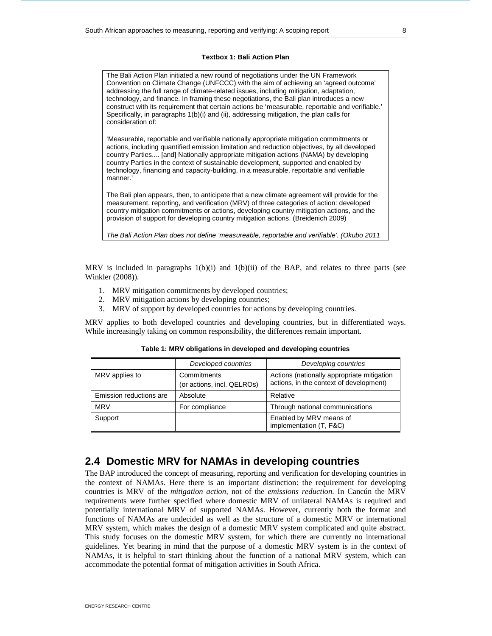## **Textbox 1: Bali Action Plan**

The Bali Action Plan initiated a new round of negotiations under the UN Framework Convention on Climate Change (UNFCCC) with the aim of achieving an 'agreed outcome' addressing the full range of climate-related issues, including mitigation, adaptation, technology, and finance. In framing these negotiations, the Bali plan introduces a new construct with its requirement that certain actions be 'measurable, reportable and verifiable.' Specifically, in paragraphs 1(b)(i) and (ii), addressing mitigation, the plan calls for consideration of:

'Measurable, reportable and verifiable nationally appropriate mitigation commitments or actions, including quantified emission limitation and reduction objectives, by all developed country Parties.... [and] Nationally appropriate mitigation actions (NAMA) by developing country Parties in the context of sustainable development, supported and enabled by technology, financing and capacity-building, in a measurable, reportable and verifiable manner.'

The Bali plan appears, then, to anticipate that a new climate agreement will provide for the measurement, reporting, and verification (MRV) of three categories of action: developed country mitigation commitments or actions, developing country mitigation actions, and the provision of support for developing country mitigation actions. (Breidenich 2009)

The Bali Action Plan does not define 'measureable, reportable and verifiable'. (Okubo 2011

MRV is included in paragraphs  $1(b)(i)$  and  $1(b)(ii)$  of the BAP, and relates to three parts (see Winkler (2008)).

- 1. MRV mitigation commitments by developed countries;
- 2. MRV mitigation actions by developing countries;
- 3. MRV of support by developed countries for actions by developing countries.

MRV applies to both developed countries and developing countries, but in differentiated ways. While increasingly taking on common responsibility, the differences remain important.

|                         | Developed countries                       | Developing countries                                                                  |  |
|-------------------------|-------------------------------------------|---------------------------------------------------------------------------------------|--|
| MRV applies to          | Commitments<br>(or actions, incl. QELROs) | Actions (nationally appropriate mitigation<br>actions, in the context of development) |  |
| Emission reductions are | Absolute                                  | Relative                                                                              |  |
| <b>MRV</b>              | For compliance                            | Through national communications                                                       |  |
| Support                 |                                           | Enabled by MRV means of<br>implementation (T, F&C)                                    |  |

#### **Table 1: MRV obligations in developed and developing countries**

# **2.4 Domestic MRV for NAMAs in developing countries**

The BAP introduced the concept of measuring, reporting and verification for developing countries in the context of NAMAs. Here there is an important distinction: the requirement for developing countries is MRV of the *mitigation action,* not of the *emissions reduction.* In Cancún the MRV requirements were further specified where domestic MRV of unilateral NAMAs is required and potentially international MRV of supported NAMAs. However, currently both the format and functions of NAMAs are undecided as well as the structure of a domestic MRV or international MRV system, which makes the design of a domestic MRV system complicated and quite abstract. This study focuses on the domestic MRV system, for which there are currently no international guidelines. Yet bearing in mind that the purpose of a domestic MRV system is in the context of NAMAs, it is helpful to start thinking about the function of a national MRV system, which can accommodate the potential format of mitigation activities in South Africa.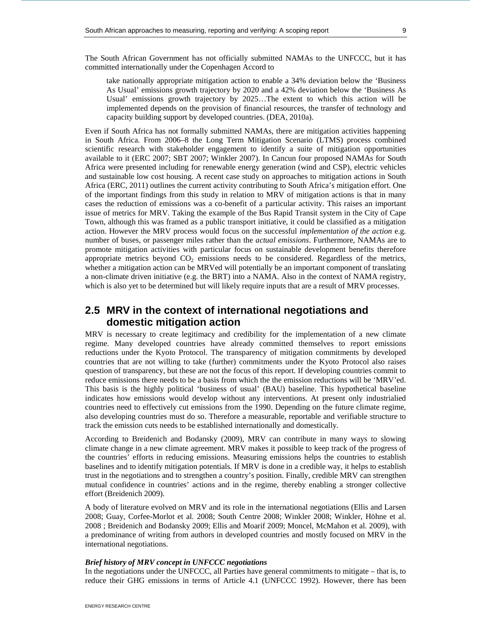take nationally appropriate mitigation action to enable a 34% deviation below the 'Business As Usual' emissions growth trajectory by 2020 and a 42% deviation below the 'Business As Usual' emissions growth trajectory by 2025…The extent to which this action will be implemented depends on the provision of financial resources, the transfer of technology and capacity building support by developed countries. (DEA, 2010a).

Even if South Africa has not formally submitted NAMAs, there are mitigation activities happening in South Africa. From 2006–8 the Long Term Mitigation Scenario (LTMS) process combined scientific research with stakeholder engagement to identify a suite of mitigation opportunities available to it (ERC 2007; SBT 2007; Winkler 2007). In Cancun four proposed NAMAs for South Africa were presented including for renewable energy generation (wind and CSP), electric vehicles and sustainable low cost housing. A recent case study on approaches to mitigation actions in South Africa (ERC, 2011) outlines the current activity contributing to South Africa's mitigation effort. One of the important findings from this study in relation to MRV of mitigation actions is that in many cases the reduction of emissions was a co-benefit of a particular activity. This raises an important issue of metrics for MRV. Taking the example of the Bus Rapid Transit system in the City of Cape Town, although this was framed as a public transport initiative, it could be classified as a mitigation action. However the MRV process would focus on the successful *implementation of the action* e.g. number of buses, or passenger miles rather than the *actual emissions*. Furthermore, NAMAs are to promote mitigation activities with particular focus on sustainable development benefits therefore appropriate metrics beyond  $CO<sub>2</sub>$  emissions needs to be considered. Regardless of the metrics, whether a mitigation action can be MRVed will potentially be an important component of translating a non-climate driven initiative (e.g. the BRT) into a NAMA. Also in the context of NAMA registry, which is also yet to be determined but will likely require inputs that are a result of MRV processes.

# **2.5 MRV in the context of international negotiations and domestic mitigation action**

MRV is necessary to create legitimacy and credibility for the implementation of a new climate regime. Many developed countries have already committed themselves to report emissions reductions under the Kyoto Protocol. The transparency of mitigation commitments by developed countries that are not willing to take (further) commitments under the Kyoto Protocol also raises question of transparency, but these are not the focus of this report. If developing countries commit to reduce emissions there needs to be a basis from which the the emission reductions will be 'MRV'ed. This basis is the highly political 'business of usual' (BAU) baseline. This hypothetical baseline indicates how emissions would develop without any interventions. At present only industrialied countries need to effectively cut emissions from the 1990. Depending on the future climate regime, also developing countries must do so. Therefore a measurable, reportable and verifiable structure to track the emission cuts needs to be established internationally and domestically.

According to Breidenich and Bodansky (2009), MRV can contribute in many ways to slowing climate change in a new climate agreement. MRV makes it possible to keep track of the progress of the countries' efforts in reducing emissions. Measuring emissions helps the countries to establish baselines and to identify mitigation potentials. If MRV is done in a credible way, it helps to establish trust in the negotiations and to strengthen a country's position. Finally, credible MRV can strengthen mutual confidence in countries' actions and in the regime, thereby enabling a stronger collective effort (Breidenich 2009).

A body of literature evolved on MRV and its role in the international negotiations (Ellis and Larsen 2008; Guay, Corfee-Morlot et al. 2008; South Centre 2008; Winkler 2008; Winkler, Höhne et al. 2008 ; Breidenich and Bodansky 2009; Ellis and Moarif 2009; Moncel, McMahon et al. 2009), with a predominance of writing from authors in developed countries and mostly focused on MRV in the international negotiations.

#### *Brief history of MRV concept in UNFCCC negotiations*

In the negotiations under the UNFCCC, all Parties have general commitments to mitigate – that is, to reduce their GHG emissions in terms of Article 4.1 (UNFCCC 1992). However, there has been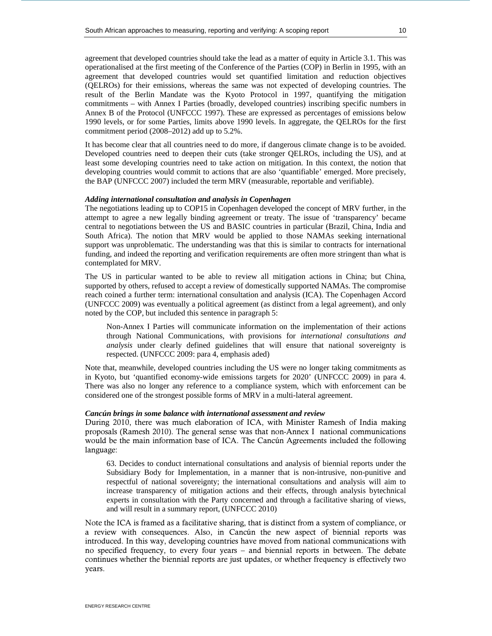agreement that developed countries should take the lead as a matter of equity in Article 3.1. This was operationalised at the first meeting of the Conference of the Parties (COP) in Berlin in 1995, with an agreement that developed countries would set quantified limitation and reduction objectives (QELROs) for their emissions, whereas the same was not expected of developing countries. The result of the Berlin Mandate was the Kyoto Protocol in 1997, quantifying the mitigation commitments – with Annex I Parties (broadly, developed countries) inscribing specific numbers in Annex B of the Protocol (UNFCCC 1997). These are expressed as percentages of emissions below 1990 levels, or for some Parties, limits above 1990 levels. In aggregate, the QELROs for the first commitment period (2008–2012) add up to 5.2%.

It has become clear that all countries need to do more, if dangerous climate change is to be avoided. Developed countries need to deepen their cuts (take stronger QELROs, including the US), and at least some developing countries need to take action on mitigation. In this context, the notion that developing countries would commit to actions that are also 'quantifiable' emerged. More precisely, the BAP (UNFCCC 2007) included the term MRV (measurable, reportable and verifiable).

## *Adding international consultation and analysis in Copenhagen*

The negotiations leading up to COP15 in Copenhagen developed the concept of MRV further, in the attempt to agree a new legally binding agreement or treaty. The issue of 'transparency' became central to negotiations between the US and BASIC countries in particular (Brazil, China, India and South Africa). The notion that MRV would be applied to those NAMAs seeking international support was unproblematic. The understanding was that this is similar to contracts for international funding, and indeed the reporting and verification requirements are often more stringent than what is contemplated for MRV.

The US in particular wanted to be able to review all mitigation actions in China; but China, supported by others, refused to accept a review of domestically supported NAMAs. The compromise reach coined a further term: international consultation and analysis (ICA). The Copenhagen Accord (UNFCCC 2009) was eventually a political agreement (as distinct from a legal agreement), and only noted by the COP, but included this sentence in paragraph 5:

Non-Annex I Parties will communicate information on the implementation of their actions through National Communications, with provisions for *international consultations and analysis* under clearly defined guidelines that will ensure that national sovereignty is respected. (UNFCCC 2009: para 4, emphasis aded)

Note that, meanwhile, developed countries including the US were no longer taking commitments as in Kyoto, but 'quantified economy-wide emissions targets for 2020' (UNFCCC 2009) in para 4. There was also no longer any reference to a compliance system, which with enforcement can be considered one of the strongest possible forms of MRV in a multi-lateral agreement.

#### *Cancún brings in some balance with international assessment and review*

During 2010, there was much elaboration of ICA, with Minister Ramesh of India making proposals (Ramesh 2010). The general sense was that non-Annex I national communications would be the main information base of ICA. The Cancún Agreements included the following language:

63. Decides to conduct international consultations and analysis of biennial reports under the Subsidiary Body for Implementation, in a manner that is non-intrusive, non-punitive and respectful of national sovereignty; the international consultations and analysis will aim to increase transparency of mitigation actions and their effects, through analysis bytechnical experts in consultation with the Party concerned and through a facilitative sharing of views, and will result in a summary report, (UNFCCC 2010)

Note the ICA is framed as a facilitative sharing, that is distinct from a system of compliance, or a review with consequences. Also, in Cancún the new aspect of biennial reports was introduced. In this way, developing countries have moved from national communications with no specified frequency, to every four years – and biennial reports in between. The debate continues whether the biennial reports are just updates, or whether frequency is effectively two years.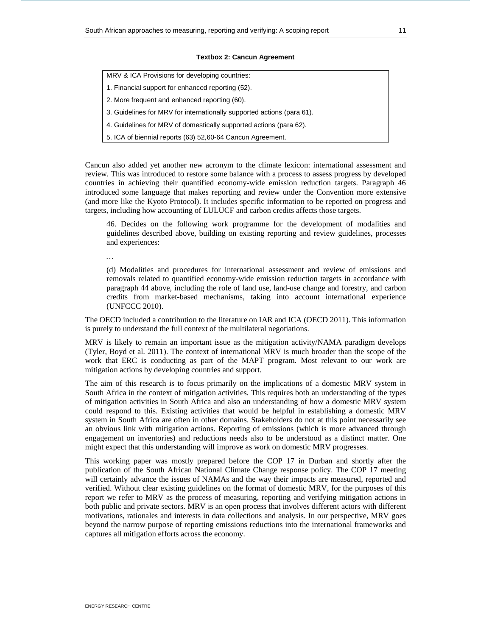#### **Textbox 2: Cancun Agreement**

- 1. Financial support for enhanced reporting (52).
- 2. More frequent and enhanced reporting (60).
- 3. Guidelines for MRV for internationally supported actions (para 61).
- 4. Guidelines for MRV of domestically supported actions (para 62).
- 5. ICA of biennial reports (63) 52,60-64 Cancun Agreement.

Cancun also added yet another new acronym to the climate lexicon: international assessment and review. This was introduced to restore some balance with a process to assess progress by developed countries in achieving their quantified economy-wide emission reduction targets. Paragraph 46 introduced some language that makes reporting and review under the Convention more extensive (and more like the Kyoto Protocol). It includes specific information to be reported on progress and targets, including how accounting of LULUCF and carbon credits affects those targets.

46. Decides on the following work programme for the development of modalities and guidelines described above, building on existing reporting and review guidelines, processes and experiences:

*…* 

(d) Modalities and procedures for international assessment and review of emissions and removals related to quantified economy-wide emission reduction targets in accordance with paragraph 44 above, including the role of land use, land-use change and forestry, and carbon credits from market-based mechanisms, taking into account international experience (UNFCCC 2010).

The OECD included a contribution to the literature on IAR and ICA (OECD 2011). This information is purely to understand the full context of the multilateral negotiations.

MRV is likely to remain an important issue as the mitigation activity/NAMA paradigm develops (Tyler, Boyd et al. 2011). The context of international MRV is much broader than the scope of the work that ERC is conducting as part of the MAPT program. Most relevant to our work are mitigation actions by developing countries and support.

The aim of this research is to focus primarily on the implications of a domestic MRV system in South Africa in the context of mitigation activities. This requires both an understanding of the types of mitigation activities in South Africa and also an understanding of how a domestic MRV system could respond to this. Existing activities that would be helpful in establishing a domestic MRV system in South Africa are often in other domains. Stakeholders do not at this point necessarily see an obvious link with mitigation actions. Reporting of emissions (which is more advanced through engagement on inventories) and reductions needs also to be understood as a distinct matter. One might expect that this understanding will improve as work on domestic MRV progresses.

This working paper was mostly prepared before the COP 17 in Durban and shortly after the publication of the South African National Climate Change response policy. The COP 17 meeting will certainly advance the issues of NAMAs and the way their impacts are measured, reported and verified. Without clear existing guidelines on the format of domestic MRV, for the purposes of this report we refer to MRV as the process of measuring, reporting and verifying mitigation actions in both public and private sectors. MRV is an open process that involves different actors with different motivations, rationales and interests in data collections and analysis. In our perspective, MRV goes beyond the narrow purpose of reporting emissions reductions into the international frameworks and captures all mitigation efforts across the economy.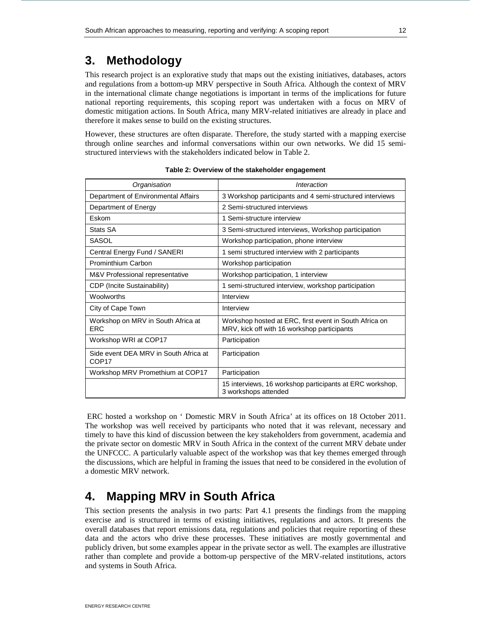# **3. Methodology**

This research project is an explorative study that maps out the existing initiatives, databases, actors and regulations from a bottom-up MRV perspective in South Africa. Although the context of MRV in the international climate change negotiations is important in terms of the implications for future national reporting requirements, this scoping report was undertaken with a focus on MRV of domestic mitigation actions. In South Africa, many MRV-related initiatives are already in place and therefore it makes sense to build on the existing structures.

However, these structures are often disparate. Therefore, the study started with a mapping exercise through online searches and informal conversations within our own networks. We did 15 semistructured interviews with the stakeholders indicated below in Table 2.

| Organisation                                               | Interaction                                                                                           |  |  |
|------------------------------------------------------------|-------------------------------------------------------------------------------------------------------|--|--|
| Department of Environmental Affairs                        | 3 Workshop participants and 4 semi-structured interviews                                              |  |  |
| Department of Energy                                       | 2 Semi-structured interviews                                                                          |  |  |
| <b>Fskom</b>                                               | 1 Semi-structure interview                                                                            |  |  |
| Stats SA                                                   | 3 Semi-structured interviews, Workshop participation                                                  |  |  |
| SASOL                                                      | Workshop participation, phone interview                                                               |  |  |
| Central Energy Fund / SANERI                               | 1 semi structured interview with 2 participants                                                       |  |  |
| Prominthium Carbon                                         | Workshop participation                                                                                |  |  |
| M&V Professional representative                            | Workshop participation, 1 interview                                                                   |  |  |
| CDP (Incite Sustainability)                                | 1 semi-structured interview, workshop participation                                                   |  |  |
| Woolworths                                                 | Interview                                                                                             |  |  |
| City of Cape Town                                          | Interview                                                                                             |  |  |
| Workshop on MRV in South Africa at<br><b>FRC</b>           | Workshop hosted at ERC, first event in South Africa on<br>MRV, kick off with 16 workshop participants |  |  |
| Workshop WRI at COP17                                      | Participation                                                                                         |  |  |
| Side event DEA MRV in South Africa at<br>COP <sub>17</sub> | Participation                                                                                         |  |  |
| Workshop MRV Promethium at COP17                           | Participation                                                                                         |  |  |
|                                                            | 15 interviews, 16 workshop participants at ERC workshop,<br>3 workshops attended                      |  |  |

|  |  | Table 2: Overview of the stakeholder engagement |
|--|--|-------------------------------------------------|
|--|--|-------------------------------------------------|

 ERC hosted a workshop on ' Domestic MRV in South Africa' at its offices on 18 October 2011. The workshop was well received by participants who noted that it was relevant, necessary and timely to have this kind of discussion between the key stakeholders from government, academia and the private sector on domestic MRV in South Africa in the context of the current MRV debate under the UNFCCC. A particularly valuable aspect of the workshop was that key themes emerged through the discussions, which are helpful in framing the issues that need to be considered in the evolution of a domestic MRV network.

# **4. Mapping MRV in South Africa**

This section presents the analysis in two parts: Part 4.1 presents the findings from the mapping exercise and is structured in terms of existing initiatives, regulations and actors. It presents the overall databases that report emissions data, regulations and policies that require reporting of these data and the actors who drive these processes. These initiatives are mostly governmental and publicly driven, but some examples appear in the private sector as well. The examples are illustrative rather than complete and provide a bottom-up perspective of the MRV-related institutions, actors and systems in South Africa.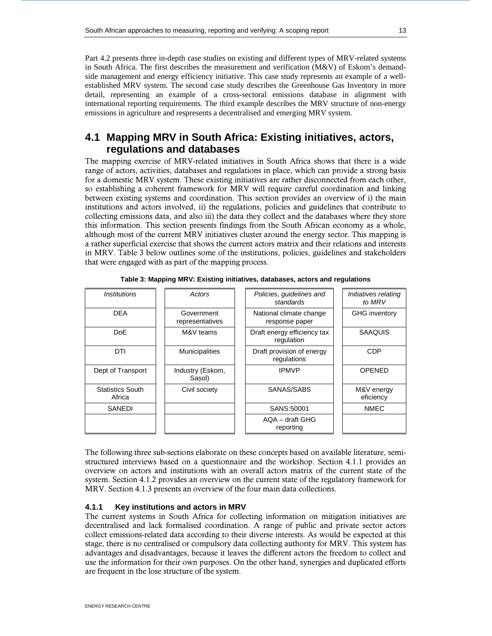Part 4.2 presents three in-depth case studies on existing and different types of MRV-related systems in South Africa. The first describes the measurement and verification (M&V) of Eskom's demandside management and energy efficiency initiative. This case study represents an example of a wellestablished MRV system. The second case study describes the Greenhouse Gas Inventory in more detail, representing an example of a cross-sectoral emissions database in alignment with international reporting requirements. The third example describes the MRV structure of non-energy emissions in agriculture and respresents a decentralised and emerging MRV system.

# **4.1 Mapping MRV in South Africa: Existing initiatives, actors, regulations and databases**

The mapping exercise of MRV-related initiatives in South Africa shows that there is a wide range of actors, activities, databases and regulations in place, which can provide a strong basis for a domestic MRV system. These existing initiatives are rather disconnected from each other, so establishing a coherent framework for MRV will require careful coordination and linking between existing systems and coordination. This section provides an overview of i) the main institutions and actors involved, ii) the regulations, policies and guidelines that contribute to collecting emissions data, and also iii) the data they collect and the databases where they store this information. This section presents findings from the South African economy as a whole, although most of the current MRV initiatives cluster around the energy sector. This mapping is a rather superficial exercise that shows the current actors matrix and their relations and interests in MRV. Table 3 below outlines some of the institutions, policies, guidelines and stakeholders that were engaged with as part of the mapping process.

| <i>Institutions</i>               | Actors                                                            | Policies, guidelines and<br>standards     | Initiatives relating<br>to MRV |
|-----------------------------------|-------------------------------------------------------------------|-------------------------------------------|--------------------------------|
| <b>DEA</b>                        | Government<br>representatives                                     | National climate change<br>response paper | <b>GHG</b> inventory           |
| <b>DoE</b>                        | M&V teams                                                         | Draft energy efficiency tax<br>regulation | <b>SAAQUIS</b>                 |
| DTI                               | Draft provision of energy<br><b>Municipalities</b><br>regulations |                                           | <b>CDP</b>                     |
| Dept of Transport                 | Industry (Eskom,<br>Sasol)                                        | <b>IPMVP</b>                              | <b>OPENED</b>                  |
| <b>Statistics South</b><br>Africa | Civil society                                                     | SANAS/SABS                                | M&V energy<br>eficiency        |
| <b>SANEDI</b>                     |                                                                   | SANS:50001                                | <b>NMEC</b>                    |
|                                   |                                                                   | AQA - draft GHG<br>reporting              |                                |

**Table 3: Mapping MRV: Existing initiatives, databases, actors and regulations** 

The following three sub-sections elaborate on these concepts based on available literature, semistructured interviews based on a questionnaire and the workshop. Section 4.1.1 provides an overview on actors and institutions with an overall actors matrix of the current state of the system. Section 4.1.2 provides an overview on the current state of the regulatory framework for MRV. Section 4.1.3 presents an overview of the four main data collections.

## **4.1.1 Key institutions and actors in MRV**

The current systems in South Africa for collecting information on mitigation initiatives are decentralised and lack formalised coordination. A range of public and private sector actors collect emissions-related data according to their diverse interests. As would be expected at this stage, there is no centralised or compulsory data collecting authority for MRV. This system has advantages and disadvantages, because it leaves the different actors the freedom to collect and use the information for their own purposes. On the other hand, synergies and duplicated efforts are frequent in the lose structure of the system.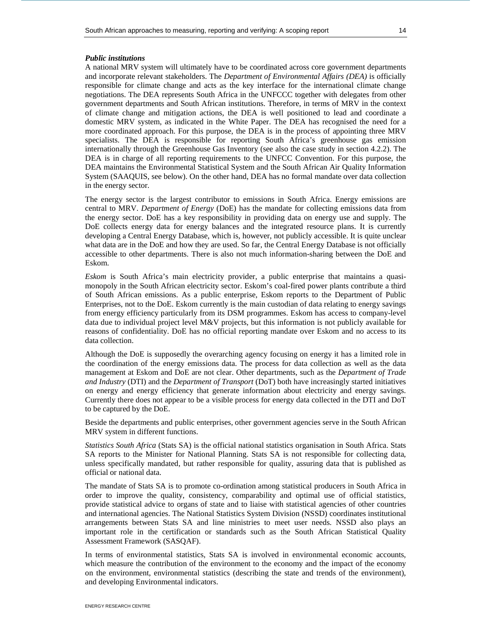## *Public institutions*

A national MRV system will ultimately have to be coordinated across core government departments and incorporate relevant stakeholders. The *Department of Environmental Affairs (DEA)* is officially responsible for climate change and acts as the key interface for the international climate change negotiations. The DEA represents South Africa in the UNFCCC together with delegates from other government departments and South African institutions. Therefore, in terms of MRV in the context of climate change and mitigation actions, the DEA is well positioned to lead and coordinate a domestic MRV system, as indicated in the White Paper. The DEA has recognised the need for a more coordinated approach. For this purpose, the DEA is in the process of appointing three MRV specialists. The DEA is responsible for reporting South Africa's greenhouse gas emission internationally through the Greenhouse Gas Inventory (see also the case study in section 4.2.2). The DEA is in charge of all reporting requirements to the UNFCC Convention. For this purpose, the DEA maintains the Environmental Statistical System and the South African Air Quality Information System (SAAQUIS, see below). On the other hand, DEA has no formal mandate over data collection in the energy sector.

The energy sector is the largest contributor to emissions in South Africa. Energy emissions are central to MRV. *Department of Energy* (DoE) has the mandate for collecting emissions data from the energy sector. DoE has a key responsibility in providing data on energy use and supply. The DoE collects energy data for energy balances and the integrated resource plans. It is currently developing a Central Energy Database, which is, however, not publicly accessible. It is quite unclear what data are in the DoE and how they are used. So far, the Central Energy Database is not officially accessible to other departments. There is also not much information-sharing between the DoE and Eskom.

*Eskom* is South Africa's main electricity provider, a public enterprise that maintains a quasimonopoly in the South African electricity sector. Eskom's coal-fired power plants contribute a third of South African emissions. As a public enterprise, Eskom reports to the Department of Public Enterprises, not to the DoE. Eskom currently is the main custodian of data relating to energy savings from energy efficiency particularly from its DSM programmes. Eskom has access to company-level data due to individual project level M&V projects, but this information is not publicly available for reasons of confidentiality. DoE has no official reporting mandate over Eskom and no access to its data collection.

Although the DoE is supposedly the overarching agency focusing on energy it has a limited role in the coordination of the energy emissions data. The process for data collection as well as the data management at Eskom and DoE are not clear. Other departments, such as the *Department of Trade and Industry* (DTI) and the *Department of Transport* (DoT) both have increasingly started initiatives on energy and energy efficiency that generate information about electricity and energy savings. Currently there does not appear to be a visible process for energy data collected in the DTI and DoT to be captured by the DoE.

Beside the departments and public enterprises, other government agencies serve in the South African MRV system in different functions.

*Statistics South Africa* (Stats SA) is the official national statistics organisation in South Africa. Stats SA reports to the Minister for National Planning. Stats SA is not responsible for collecting data, unless specifically mandated, but rather responsible for quality, assuring data that is published as official or national data.

The mandate of Stats SA is to promote co-ordination among statistical producers in South Africa in order to improve the quality, consistency, comparability and optimal use of official statistics, provide statistical advice to organs of state and to liaise with statistical agencies of other countries and international agencies. The National Statistics System Division (NSSD) coordinates institutional arrangements between Stats SA and line ministries to meet user needs. NSSD also plays an important role in the certification or standards such as the South African Statistical Quality Assessment Framework (SASQAF).

In terms of environmental statistics, Stats SA is involved in environmental economic accounts, which measure the contribution of the environment to the economy and the impact of the economy on the environment, environmental statistics (describing the state and trends of the environment), and developing Environmental indicators.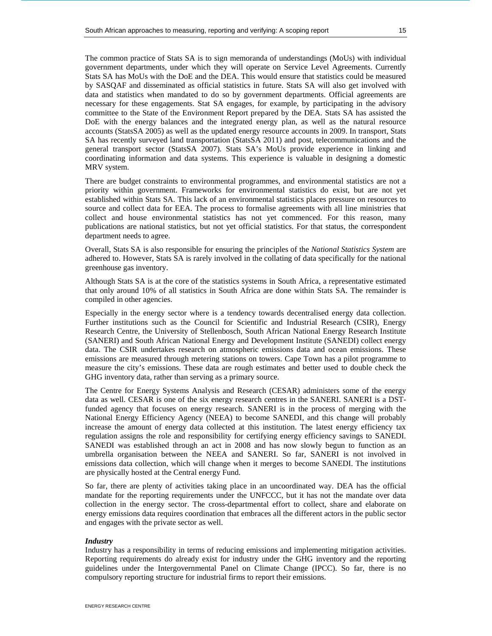The common practice of Stats SA is to sign memoranda of understandings (MoUs) with individual government departments, under which they will operate on Service Level Agreements. Currently Stats SA has MoUs with the DoE and the DEA. This would ensure that statistics could be measured by SASQAF and disseminated as official statistics in future. Stats SA will also get involved with data and statistics when mandated to do so by government departments. Official agreements are necessary for these engagements. Stat SA engages, for example, by participating in the advisory committee to the State of the Environment Report prepared by the DEA. Stats SA has assisted the DoE with the energy balances and the integrated energy plan, as well as the natural resource accounts (StatsSA 2005) as well as the updated energy resource accounts in 2009. In transport, Stats SA has recently surveyed land transportation (StatsSA 2011) and post, telecommunications and the general transport sector (StatsSA 2007). Stats SA's MoUs provide experience in linking and coordinating information and data systems. This experience is valuable in designing a domestic MRV system.

There are budget constraints to environmental programmes, and environmental statistics are not a priority within government. Frameworks for environmental statistics do exist, but are not yet established within Stats SA. This lack of an environmental statistics places pressure on resources to source and collect data for EEA. The process to formalise agreements with all line ministries that collect and house environmental statistics has not yet commenced. For this reason, many publications are national statistics, but not yet official statistics. For that status, the correspondent department needs to agree.

Overall, Stats SA is also responsible for ensuring the principles of the *National Statistics System* are adhered to. However, Stats SA is rarely involved in the collating of data specifically for the national greenhouse gas inventory.

Although Stats SA is at the core of the statistics systems in South Africa, a representative estimated that only around 10% of all statistics in South Africa are done within Stats SA. The remainder is compiled in other agencies.

Especially in the energy sector where is a tendency towards decentralised energy data collection. Further institutions such as the Council for Scientific and Industrial Research (CSIR), Energy Research Centre, the University of Stellenbosch, South African National Energy Research Institute (SANERI) and South African National Energy and Development Institute (SANEDI) collect energy data. The CSIR undertakes research on atmospheric emissions data and ocean emissions. These emissions are measured through metering stations on towers. Cape Town has a pilot programme to measure the city's emissions. These data are rough estimates and better used to double check the GHG inventory data, rather than serving as a primary source.

The Centre for Energy Systems Analysis and Research (CESAR) administers some of the energy data as well. CESAR is one of the six energy research centres in the SANERI. SANERI is a DSTfunded agency that focuses on energy research. SANERI is in the process of merging with the National Energy Efficiency Agency (NEEA) to become SANEDI, and this change will probably increase the amount of energy data collected at this institution. The latest energy efficiency tax regulation assigns the role and responsibility for certifying energy efficiency savings to SANEDI. SANEDI was established through an act in 2008 and has now slowly begun to function as an umbrella organisation between the NEEA and SANERI. So far, SANERI is not involved in emissions data collection, which will change when it merges to become SANEDI. The institutions are physically hosted at the Central energy Fund.

So far, there are plenty of activities taking place in an uncoordinated way. DEA has the official mandate for the reporting requirements under the UNFCCC, but it has not the mandate over data collection in the energy sector. The cross-departmental effort to collect, share and elaborate on energy emissions data requires coordination that embraces all the different actors in the public sector and engages with the private sector as well.

## *Industry*

Industry has a responsibility in terms of reducing emissions and implementing mitigation activities. Reporting requirements do already exist for industry under the GHG inventory and the reporting guidelines under the Intergovernmental Panel on Climate Change (IPCC). So far, there is no compulsory reporting structure for industrial firms to report their emissions.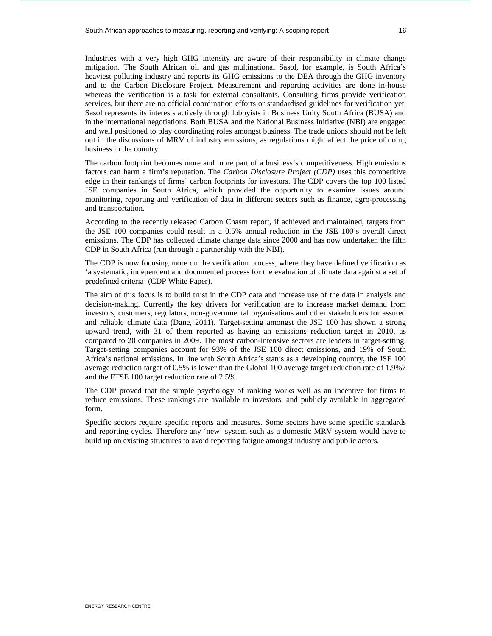Industries with a very high GHG intensity are aware of their responsibility in climate change mitigation. The South African oil and gas multinational Sasol, for example, is South Africa's heaviest polluting industry and reports its GHG emissions to the DEA through the GHG inventory and to the Carbon Disclosure Project. Measurement and reporting activities are done in-house whereas the verification is a task for external consultants. Consulting firms provide verification services, but there are no official coordination efforts or standardised guidelines for verification yet. Sasol represents its interests actively through lobbyists in Business Unity South Africa (BUSA) and in the international negotiations. Both BUSA and the National Business Initiative (NBI) are engaged and well positioned to play coordinating roles amongst business. The trade unions should not be left out in the discussions of MRV of industry emissions, as regulations might affect the price of doing business in the country.

The carbon footprint becomes more and more part of a business's competitiveness. High emissions factors can harm a firm's reputation. The *Carbon Disclosure Project (CDP)* uses this competitive edge in their rankings of firms' carbon footprints for investors. The CDP covers the top 100 listed JSE companies in South Africa, which provided the opportunity to examine issues around monitoring, reporting and verification of data in different sectors such as finance, agro-processing and transportation.

According to the recently released Carbon Chasm report, if achieved and maintained, targets from the JSE 100 companies could result in a 0.5% annual reduction in the JSE 100's overall direct emissions. The CDP has collected climate change data since 2000 and has now undertaken the fifth CDP in South Africa (run through a partnership with the NBI).

The CDP is now focusing more on the verification process, where they have defined verification as 'a systematic, independent and documented process for the evaluation of climate data against a set of predefined criteria' (CDP White Paper).

The aim of this focus is to build trust in the CDP data and increase use of the data in analysis and decision-making. Currently the key drivers for verification are to increase market demand from investors, customers, regulators, non-governmental organisations and other stakeholders for assured and reliable climate data (Dane, 2011). Target-setting amongst the JSE 100 has shown a strong upward trend, with 31 of them reported as having an emissions reduction target in 2010, as compared to 20 companies in 2009. The most carbon-intensive sectors are leaders in target-setting. Target-setting companies account for 93% of the JSE 100 direct emissions, and 19% of South Africa's national emissions. In line with South Africa's status as a developing country, the JSE 100 average reduction target of 0.5% is lower than the Global 100 average target reduction rate of 1.9%7 and the FTSE 100 target reduction rate of 2.5%.

The CDP proved that the simple psychology of ranking works well as an incentive for firms to reduce emissions. These rankings are available to investors, and publicly available in aggregated form.

Specific sectors require specific reports and measures. Some sectors have some specific standards and reporting cycles. Therefore any 'new' system such as a domestic MRV system would have to build up on existing structures to avoid reporting fatigue amongst industry and public actors.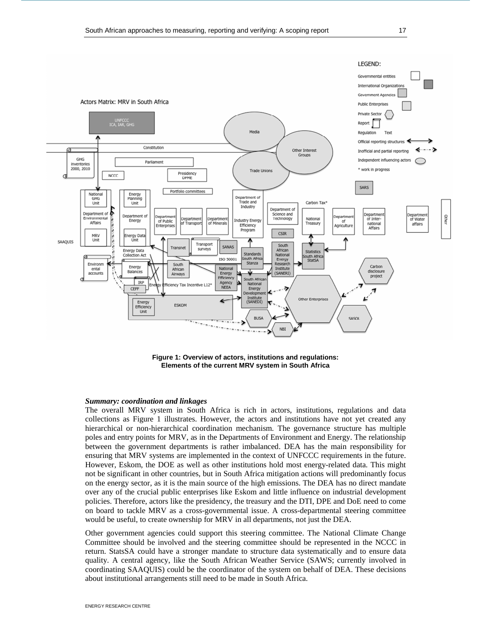

**Figure 1: Overview of actors, institutions and regulations: Elements of the current MRV system in South Africa** 

## *Summary: coordination and linkages*

The overall MRV system in South Africa is rich in actors, institutions, regulations and data collections as Figure 1 illustrates. However, the actors and institutions have not yet created any hierarchical or non-hierarchical coordination mechanism. The governance structure has multiple poles and entry points for MRV, as in the Departments of Environment and Energy. The relationship between the government departments is rather imbalanced. DEA has the main responsibility for ensuring that MRV systems are implemented in the context of UNFCCC requirements in the future. However, Eskom, the DOE as well as other institutions hold most energy-related data. This might not be significant in other countries, but in South Africa mitigation actions will predominantly focus on the energy sector, as it is the main source of the high emissions. The DEA has no direct mandate over any of the crucial public enterprises like Eskom and little influence on industrial development policies. Therefore, actors like the presidency, the treasury and the DTI, DPE and DoE need to come on board to tackle MRV as a cross-governmental issue. A cross-departmental steering committee would be useful, to create ownership for MRV in all departments, not just the DEA.

Other government agencies could support this steering committee. The National Climate Change Committee should be involved and the steering committee should be represented in the NCCC in return. StatsSA could have a stronger mandate to structure data systematically and to ensure data quality. A central agency, like the South African Weather Service (SAWS; currently involved in coordinating SAAQUIS) could be the coordinator of the system on behalf of DEA. These decisions about institutional arrangements still need to be made in South Africa.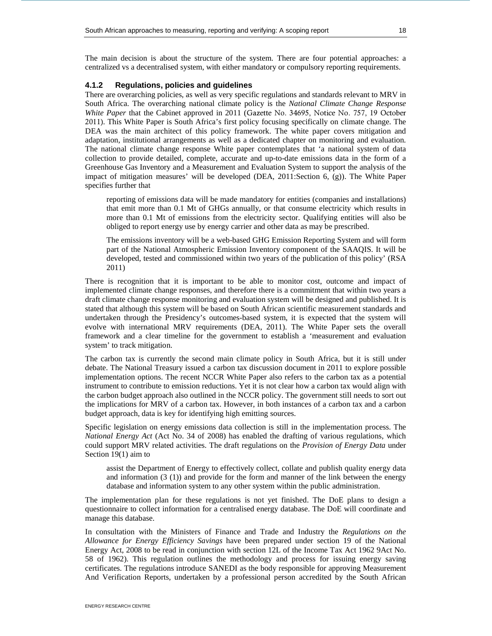The main decision is about the structure of the system. There are four potential approaches: a centralized vs a decentralised system, with either mandatory or compulsory reporting requirements.

## **4.1.2 Regulations, policies and guidelines**

There are overarching policies, as well as very specific regulations and standards relevant to MRV in South Africa. The overarching national climate policy is the *National Climate Change Response White Paper* that the Cabinet approved in 2011 (Gazette No. 34695, Notice No. 757, 19 October 2011). This White Paper is South Africa's first policy focusing specifically on climate change. The DEA was the main architect of this policy framework. The white paper covers mitigation and adaptation, institutional arrangements as well as a dedicated chapter on monitoring and evaluation. The national climate change response White paper contemplates that 'a national system of data collection to provide detailed, complete, accurate and up-to-date emissions data in the form of a Greenhouse Gas Inventory and a Measurement and Evaluation System to support the analysis of the impact of mitigation measures' will be developed (DEA, 2011:Section 6, (g)). The White Paper specifies further that

reporting of emissions data will be made mandatory for entities (companies and installations) that emit more than 0.1 Mt of GHGs annually, or that consume electricity which results in more than 0.1 Mt of emissions from the electricity sector. Qualifying entities will also be obliged to report energy use by energy carrier and other data as may be prescribed.

The emissions inventory will be a web-based GHG Emission Reporting System and will form part of the National Atmospheric Emission Inventory component of the SAAQIS. It will be developed, tested and commissioned within two years of the publication of this policy' (RSA 2011)

There is recognition that it is important to be able to monitor cost, outcome and impact of implemented climate change responses, and therefore there is a commitment that within two years a draft climate change response monitoring and evaluation system will be designed and published. It is stated that although this system will be based on South African scientific measurement standards and undertaken through the Presidency's outcomes-based system, it is expected that the system will evolve with international MRV requirements (DEA, 2011). The White Paper sets the overall framework and a clear timeline for the government to establish a 'measurement and evaluation system' to track mitigation.

The carbon tax is currently the second main climate policy in South Africa, but it is still under debate. The National Treasury issued a carbon tax discussion document in 2011 to explore possible implementation options. The recent NCCR White Paper also refers to the carbon tax as a potential instrument to contribute to emission reductions. Yet it is not clear how a carbon tax would align with the carbon budget approach also outlined in the NCCR policy. The government still needs to sort out the implications for MRV of a carbon tax. However, in both instances of a carbon tax and a carbon budget approach, data is key for identifying high emitting sources.

Specific legislation on energy emissions data collection is still in the implementation process. The *National Energy Act* (Act No. 34 of 2008) has enabled the drafting of various regulations, which could support MRV related activities. The draft regulations on the *Provision of Energy Data* under Section 19(1) aim to

assist the Department of Energy to effectively collect, collate and publish quality energy data and information (3 (1)) and provide for the form and manner of the link between the energy database and information system to any other system within the public administration.

The implementation plan for these regulations is not yet finished. The DoE plans to design a questionnaire to collect information for a centralised energy database. The DoE will coordinate and manage this database.

In consultation with the Ministers of Finance and Trade and Industry the *Regulations on the Allowance for Energy Efficiency Savings* have been prepared under section 19 of the National Energy Act, 2008 to be read in conjunction with section 12L of the Income Tax Act 1962 9Act No. 58 of 1962). This regulation outlines the methodology and process for issuing energy saving certificates. The regulations introduce SANEDI as the body responsible for approving Measurement And Verification Reports, undertaken by a professional person accredited by the South African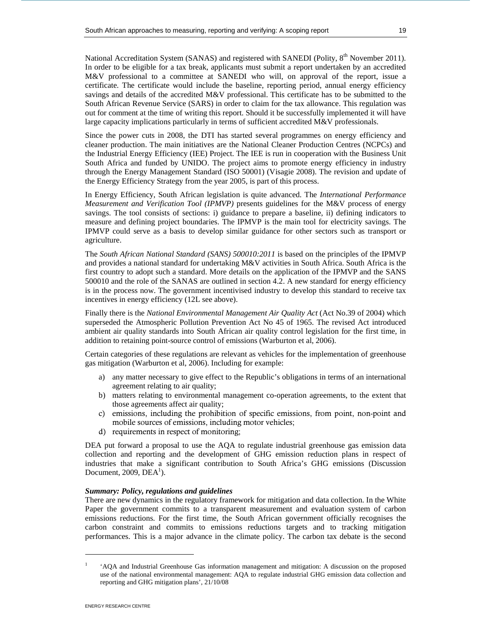National Accreditation System (SANAS) and registered with SANEDI (Polity, 8<sup>th</sup> November 2011). In order to be eligible for a tax break, applicants must submit a report undertaken by an accredited M&V professional to a committee at SANEDI who will, on approval of the report, issue a certificate. The certificate would include the baseline, reporting period, annual energy efficiency savings and details of the accredited M&V professional. This certificate has to be submitted to the South African Revenue Service (SARS) in order to claim for the tax allowance. This regulation was out for comment at the time of writing this report. Should it be successfully implemented it will have large capacity implications particularly in terms of sufficient accredited M&V professionals.

Since the power cuts in 2008, the DTI has started several programmes on energy efficiency and cleaner production. The main initiatives are the National Cleaner Production Centres (NCPCs) and the Industrial Energy Efficiency (IEE) Project. The IEE is run in cooperation with the Business Unit South Africa and funded by UNIDO. The project aims to promote energy efficiency in industry through the Energy Management Standard (ISO 50001) (Visagie 2008). The revision and update of the Energy Efficiency Strategy from the year 2005, is part of this process.

In Energy Efficiency, South African legislation is quite advanced. The *International Performance Measurement and Verification Tool (IPMVP)* presents guidelines for the M&V process of energy savings. The tool consists of sections: i) guidance to prepare a baseline, ii) defining indicators to measure and defining project boundaries. The IPMVP is the main tool for electricity savings. The IPMVP could serve as a basis to develop similar guidance for other sectors such as transport or agriculture.

The *South African National Standard (SANS) 500010:2011* is based on the principles of the IPMVP and provides a national standard for undertaking M&V activities in South Africa. South Africa is the first country to adopt such a standard. More details on the application of the IPMVP and the SANS 500010 and the role of the SANAS are outlined in section 4.2. A new standard for energy efficiency is in the process now. The government incentivised industry to develop this standard to receive tax incentives in energy efficiency (12L see above).

Finally there is the *National Environmental Management Air Quality Act* (Act No.39 of 2004) which superseded the Atmospheric Pollution Prevention Act No 45 of 1965. The revised Act introduced ambient air quality standards into South African air quality control legislation for the first time, in addition to retaining point-source control of emissions (Warburton et al, 2006).

Certain categories of these regulations are relevant as vehicles for the implementation of greenhouse gas mitigation (Warburton et al, 2006). Including for example:

- a) any matter necessary to give effect to the Republic's obligations in terms of an international agreement relating to air quality;
- b) matters relating to environmental management co-operation agreements, to the extent that those agreements affect air quality;
- c) emissions, including the prohibition of specific emissions, from point, non-point and mobile sources of emissions, including motor vehicles;
- d) requirements in respect of monitoring;

DEA put forward a proposal to use the AQA to regulate industrial greenhouse gas emission data collection and reporting and the development of GHG emission reduction plans in respect of industries that make a significant contribution to South Africa's GHG emissions (Discussion Document, 2009,  $DEA<sup>1</sup>$ ).

## *Summary: Policy, regulations and guidelines*

There are new dynamics in the regulatory framework for mitigation and data collection. In the White Paper the government commits to a transparent measurement and evaluation system of carbon emissions reductions. For the first time, the South African government officially recognises the carbon constraint and commits to emissions reductions targets and to tracking mitigation performances. This is a major advance in the climate policy. The carbon tax debate is the second

-

<sup>1</sup> 'AQA and Industrial Greenhouse Gas information management and mitigation: A discussion on the proposed use of the national environmental management: AQA to regulate industrial GHG emission data collection and reporting and GHG mitigation plans', 21/10/08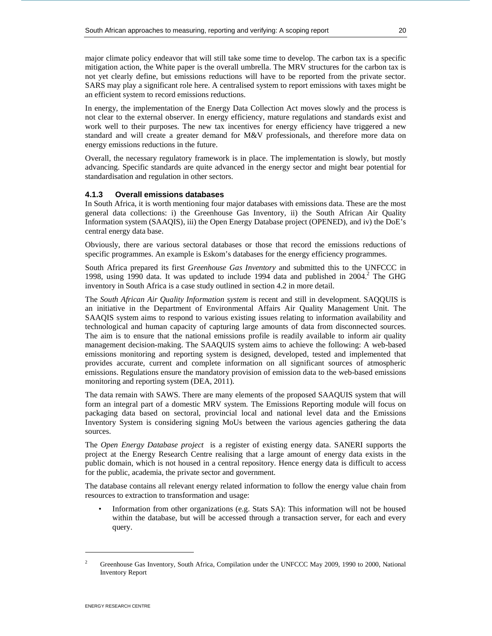major climate policy endeavor that will still take some time to develop. The carbon tax is a specific mitigation action, the White paper is the overall umbrella. The MRV structures for the carbon tax is not yet clearly define, but emissions reductions will have to be reported from the private sector. SARS may play a significant role here. A centralised system to report emissions with taxes might be an efficient system to record emissions reductions.

In energy, the implementation of the Energy Data Collection Act moves slowly and the process is not clear to the external observer. In energy efficiency, mature regulations and standards exist and work well to their purposes. The new tax incentives for energy efficiency have triggered a new standard and will create a greater demand for M&V professionals, and therefore more data on energy emissions reductions in the future.

Overall, the necessary regulatory framework is in place. The implementation is slowly, but mostly advancing. Specific standards are quite advanced in the energy sector and might bear potential for standardisation and regulation in other sectors.

## **4.1.3 Overall emissions databases**

In South Africa, it is worth mentioning four major databases with emissions data. These are the most general data collections: i) the Greenhouse Gas Inventory, ii) the South African Air Quality Information system (SAAQIS), iii) the Open Energy Database project (OPENED), and iv) the DoE's central energy data base.

Obviously, there are various sectoral databases or those that record the emissions reductions of specific programmes. An example is Eskom's databases for the energy efficiency programmes.

South Africa prepared its first *Greenhouse Gas Inventory* and submitted this to the UNFCCC in 1998, using  $1990$  data. It was updated to include 1994 data and published in 2004.<sup>2</sup> The GHG inventory in South Africa is a case study outlined in section 4.2 in more detail.

The *South African Air Quality Information system* is recent and still in development. SAQQUIS is an initiative in the Department of Environmental Affairs Air Quality Management Unit. The SAAQIS system aims to respond to various existing issues relating to information availability and technological and human capacity of capturing large amounts of data from disconnected sources. The aim is to ensure that the national emissions profile is readily available to inform air quality management decision-making. The SAAQUIS system aims to achieve the following: A web-based emissions monitoring and reporting system is designed, developed, tested and implemented that provides accurate, current and complete information on all significant sources of atmospheric emissions. Regulations ensure the mandatory provision of emission data to the web-based emissions monitoring and reporting system (DEA, 2011).

The data remain with SAWS. There are many elements of the proposed SAAQUIS system that will form an integral part of a domestic MRV system. The Emissions Reporting module will focus on packaging data based on sectoral, provincial local and national level data and the Emissions Inventory System is considering signing MoUs between the various agencies gathering the data sources.

The *Open Energy Database project* is a register of existing energy data. SANERI supports the project at the Energy Research Centre realising that a large amount of energy data exists in the public domain, which is not housed in a central repository. Hence energy data is difficult to access for the public, academia, the private sector and government.

The database contains all relevant energy related information to follow the energy value chain from resources to extraction to transformation and usage:

• Information from other organizations (e.g. Stats SA): This information will not be housed within the database, but will be accessed through a transaction server, for each and every query.

-

<sup>2</sup> Greenhouse Gas Inventory, South Africa, Compilation under the UNFCCC May 2009, 1990 to 2000, National Inventory Report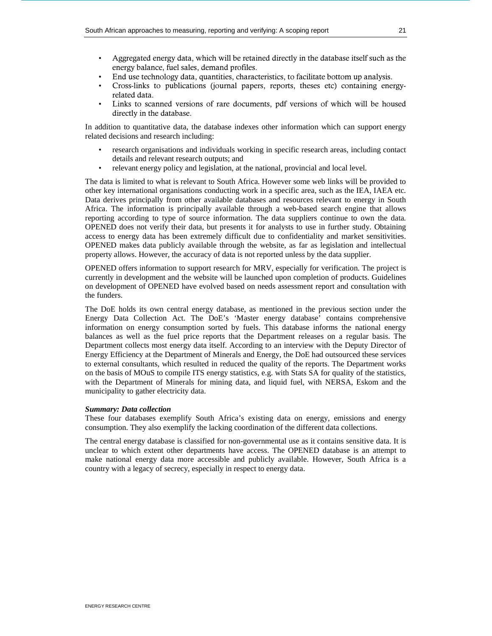- Aggregated energy data, which will be retained directly in the database itself such as the energy balance, fuel sales, demand profiles.
- End use technology data, quantities, characteristics, to facilitate bottom up analysis.
- Cross-links to publications (journal papers, reports, theses etc) containing energyrelated data.
- Links to scanned versions of rare documents, pdf versions of which will be housed directly in the database.

In addition to quantitative data, the database indexes other information which can support energy related decisions and research including:

- research organisations and individuals working in specific research areas, including contact details and relevant research outputs; and
- relevant energy policy and legislation, at the national, provincial and local level.

The data is limited to what is relevant to South Africa. However some web links will be provided to other key international organisations conducting work in a specific area, such as the IEA, IAEA etc. Data derives principally from other available databases and resources relevant to energy in South Africa. The information is principally available through a web-based search engine that allows reporting according to type of source information. The data suppliers continue to own the data. OPENED does not verify their data, but presents it for analysts to use in further study. Obtaining access to energy data has been extremely difficult due to confidentiality and market sensitivities. OPENED makes data publicly available through the website, as far as legislation and intellectual property allows. However, the accuracy of data is not reported unless by the data supplier.

OPENED offers information to support research for MRV, especially for verification. The project is currently in development and the website will be launched upon completion of products. Guidelines on development of OPENED have evolved based on needs assessment report and consultation with the funders.

The DoE holds its own central energy database, as mentioned in the previous section under the Energy Data Collection Act. The DoE's 'Master energy database' contains comprehensive information on energy consumption sorted by fuels. This database informs the national energy balances as well as the fuel price reports that the Department releases on a regular basis. The Department collects most energy data itself. According to an interview with the Deputy Director of Energy Efficiency at the Department of Minerals and Energy, the DoE had outsourced these services to external consultants, which resulted in reduced the quality of the reports. The Department works on the basis of MOuS to compile ITS energy statistics, e.g. with Stats SA for quality of the statistics, with the Department of Minerals for mining data, and liquid fuel, with NERSA, Eskom and the municipality to gather electricity data.

## *Summary: Data collection*

These four databases exemplify South Africa's existing data on energy, emissions and energy consumption. They also exemplify the lacking coordination of the different data collections.

The central energy database is classified for non-governmental use as it contains sensitive data. It is unclear to which extent other departments have access. The OPENED database is an attempt to make national energy data more accessible and publicly available. However, South Africa is a country with a legacy of secrecy, especially in respect to energy data.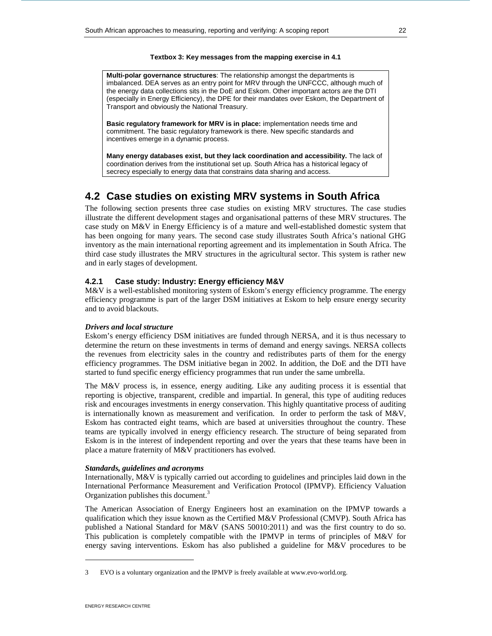#### **Textbox 3: Key messages from the mapping exercise in 4.1**

**Multi-polar governance structures**: The relationship amongst the departments is imbalanced. DEA serves as an entry point for MRV through the UNFCCC, although much of the energy data collections sits in the DoE and Eskom. Other important actors are the DTI (especially in Energy Efficiency), the DPE for their mandates over Eskom, the Department of Transport and obviously the National Treasury.

**Basic regulatory framework for MRV is in place:** implementation needs time and commitment. The basic regulatory framework is there. New specific standards and incentives emerge in a dynamic process.

**Many energy databases exist, but they lack coordination and accessibility.** The lack of coordination derives from the institutional set up. South Africa has a historical legacy of secrecy especially to energy data that constrains data sharing and access.

# **4.2 Case studies on existing MRV systems in South Africa**

The following section presents three case studies on existing MRV structures. The case studies illustrate the different development stages and organisational patterns of these MRV structures. The case study on M&V in Energy Efficiency is of a mature and well-established domestic system that has been ongoing for many years. The second case study illustrates South Africa's national GHG inventory as the main international reporting agreement and its implementation in South Africa. The third case study illustrates the MRV structures in the agricultural sector. This system is rather new and in early stages of development.

## **4.2.1 Case study: Industry: Energy efficiency M&V**

M&V is a well-established monitoring system of Eskom's energy efficiency programme. The energy efficiency programme is part of the larger DSM initiatives at Eskom to help ensure energy security and to avoid blackouts.

## *Drivers and local structure*

Eskom's energy efficiency DSM initiatives are funded through NERSA, and it is thus necessary to determine the return on these investments in terms of demand and energy savings. NERSA collects the revenues from electricity sales in the country and redistributes parts of them for the energy efficiency programmes. The DSM initiative began in 2002. In addition, the DoE and the DTI have started to fund specific energy efficiency programmes that run under the same umbrella.

The M&V process is, in essence, energy auditing. Like any auditing process it is essential that reporting is objective, transparent, credible and impartial. In general, this type of auditing reduces risk and encourages investments in energy conservation. This highly quantitative process of auditing is internationally known as measurement and verification. In order to perform the task of M&V, Eskom has contracted eight teams, which are based at universities throughout the country. These teams are typically involved in energy efficiency research. The structure of being separated from Eskom is in the interest of independent reporting and over the years that these teams have been in place a mature fraternity of M&V practitioners has evolved.

#### *Standards, guidelines and acronyms*

Internationally, M&V is typically carried out according to guidelines and principles laid down in the International Performance Measurement and Verification Protocol (IPMVP). Efficiency Valuation Organization publishes this document.<sup>3</sup>

The American Association of Energy Engineers host an examination on the IPMVP towards a qualification which they issue known as the Certified M&V Professional (CMVP). South Africa has published a National Standard for M&V (SANS 50010:2011) and was the first country to do so. This publication is completely compatible with the IPMVP in terms of principles of M&V for energy saving interventions. Eskom has also published a guideline for M&V procedures to be

-

<sup>3</sup> EVO is a voluntary organization and the IPMVP is freely available at www.evo-world.org.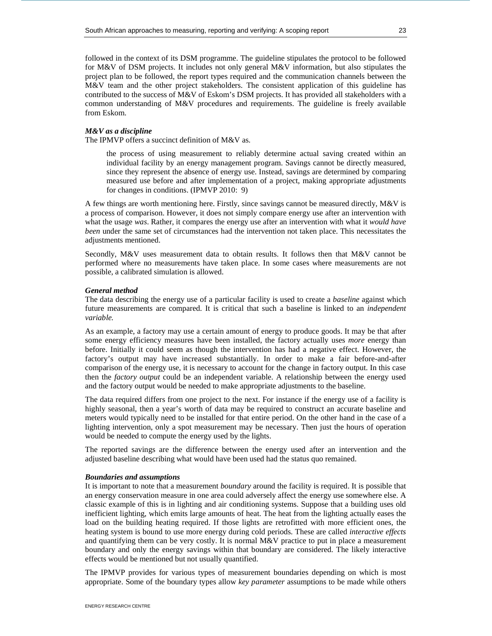followed in the context of its DSM programme. The guideline stipulates the protocol to be followed for M&V of DSM projects. It includes not only general M&V information, but also stipulates the project plan to be followed, the report types required and the communication channels between the M&V team and the other project stakeholders. The consistent application of this guideline has contributed to the success of M&V of Eskom's DSM projects. It has provided all stakeholders with a common understanding of M&V procedures and requirements. The guideline is freely available from Eskom.

## *M&V as a discipline*

The IPMVP offers a succinct definition of M&V as.

the process of using measurement to reliably determine actual saving created within an individual facility by an energy management program. Savings cannot be directly measured, since they represent the absence of energy use. Instead, savings are determined by comparing measured use before and after implementation of a project, making appropriate adjustments for changes in conditions. (IPMVP 2010: 9)

A few things are worth mentioning here. Firstly, since savings cannot be measured directly, M&V is a process of comparison. However, it does not simply compare energy use after an intervention with what the usage *was*. Rather, it compares the energy use after an intervention with what it *would have been* under the same set of circumstances had the intervention not taken place. This necessitates the adjustments mentioned.

Secondly, M&V uses measurement data to obtain results. It follows then that M&V cannot be performed where no measurements have taken place. In some cases where measurements are not possible, a calibrated simulation is allowed.

#### *General method*

The data describing the energy use of a particular facility is used to create a *baseline* against which future measurements are compared. It is critical that such a baseline is linked to an *independent variable.*

As an example, a factory may use a certain amount of energy to produce goods. It may be that after some energy efficiency measures have been installed, the factory actually uses *more* energy than before. Initially it could seem as though the intervention has had a negative effect. However, the factory's output may have increased substantially. In order to make a fair before-and-after comparison of the energy use, it is necessary to account for the change in factory output. In this case then the *factory output* could be an independent variable. A relationship between the energy used and the factory output would be needed to make appropriate adjustments to the baseline.

The data required differs from one project to the next. For instance if the energy use of a facility is highly seasonal, then a year's worth of data may be required to construct an accurate baseline and meters would typically need to be installed for that entire period. On the other hand in the case of a lighting intervention, only a spot measurement may be necessary. Then just the hours of operation would be needed to compute the energy used by the lights.

The reported savings are the difference between the energy used after an intervention and the adjusted baseline describing what would have been used had the status quo remained.

## *Boundaries and assumptions*

It is important to note that a measurement *boundary* around the facility is required. It is possible that an energy conservation measure in one area could adversely affect the energy use somewhere else. A classic example of this is in lighting and air conditioning systems. Suppose that a building uses old inefficient lighting, which emits large amounts of heat. The heat from the lighting actually eases the load on the building heating required. If those lights are retrofitted with more efficient ones, the heating system is bound to use more energy during cold periods. These are called *interactive effects* and quantifying them can be very costly. It is normal M&V practice to put in place a measurement boundary and only the energy savings within that boundary are considered. The likely interactive effects would be mentioned but not usually quantified.

The IPMVP provides for various types of measurement boundaries depending on which is most appropriate. Some of the boundary types allow *key parameter* assumptions to be made while others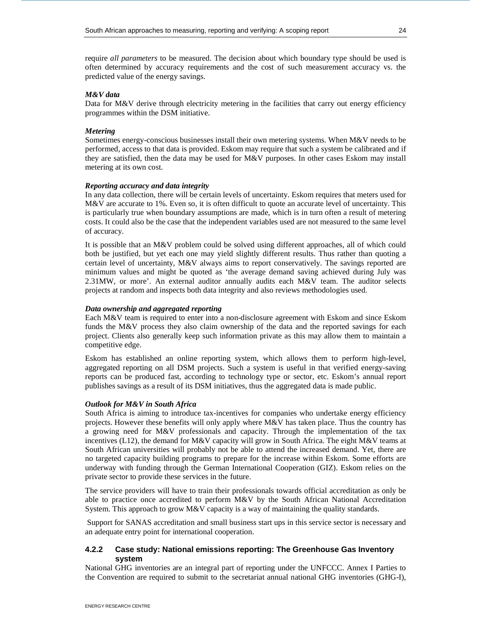require *all parameters* to be measured. The decision about which boundary type should be used is often determined by accuracy requirements and the cost of such measurement accuracy vs. the predicted value of the energy savings.

## *M&V data*

Data for M&V derive through electricity metering in the facilities that carry out energy efficiency programmes within the DSM initiative.

## *Metering*

Sometimes energy-conscious businesses install their own metering systems. When M&V needs to be performed, access to that data is provided. Eskom may require that such a system be calibrated and if they are satisfied, then the data may be used for M&V purposes. In other cases Eskom may install metering at its own cost.

## *Reporting accuracy and data integrity*

In any data collection, there will be certain levels of uncertainty. Eskom requires that meters used for M&V are accurate to 1%. Even so, it is often difficult to quote an accurate level of uncertainty. This is particularly true when boundary assumptions are made, which is in turn often a result of metering costs. It could also be the case that the independent variables used are not measured to the same level of accuracy.

It is possible that an M&V problem could be solved using different approaches, all of which could both be justified, but yet each one may yield slightly different results. Thus rather than quoting a certain level of uncertainty, M&V always aims to report conservatively. The savings reported are minimum values and might be quoted as 'the average demand saving achieved during July was 2.31MW, or more'. An external auditor annually audits each M&V team. The auditor selects projects at random and inspects both data integrity and also reviews methodologies used.

## *Data ownership and aggregated reporting*

Each M&V team is required to enter into a non-disclosure agreement with Eskom and since Eskom funds the M&V process they also claim ownership of the data and the reported savings for each project. Clients also generally keep such information private as this may allow them to maintain a competitive edge.

Eskom has established an online reporting system, which allows them to perform high-level, aggregated reporting on all DSM projects. Such a system is useful in that verified energy-saving reports can be produced fast, according to technology type or sector, etc. Eskom's annual report publishes savings as a result of its DSM initiatives, thus the aggregated data is made public.

## *Outlook for M&V in South Africa*

South Africa is aiming to introduce tax-incentives for companies who undertake energy efficiency projects. However these benefits will only apply where M&V has taken place. Thus the country has a growing need for M&V professionals and capacity. Through the implementation of the tax incentives (L12), the demand for M&V capacity will grow in South Africa. The eight M&V teams at South African universities will probably not be able to attend the increased demand. Yet, there are no targeted capacity building programs to prepare for the increase within Eskom. Some efforts are underway with funding through the German International Cooperation (GIZ). Eskom relies on the private sector to provide these services in the future.

The service providers will have to train their professionals towards official accreditation as only be able to practice once accredited to perform M&V by the South African National Accreditation System. This approach to grow M&V capacity is a way of maintaining the quality standards.

 Support for SANAS accreditation and small business start ups in this service sector is necessary and an adequate entry point for international cooperation.

## **4.2.2 Case study: National emissions reporting: The Greenhouse Gas Inventory system**

National GHG inventories are an integral part of reporting under the UNFCCC. Annex I Parties to the Convention are required to submit to the secretariat annual national GHG inventories (GHG-I),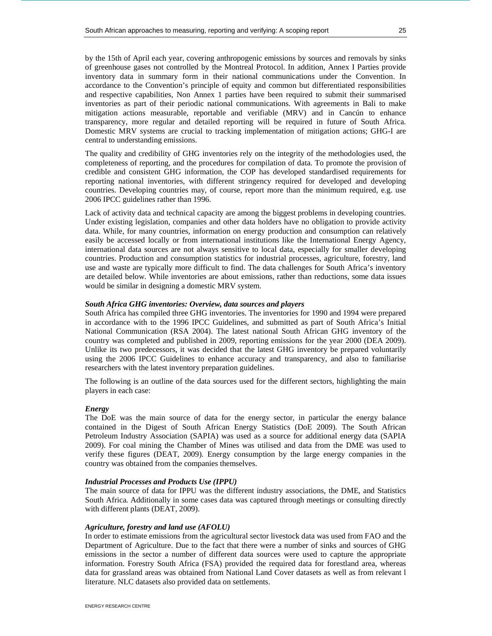by the 15th of April each year, covering anthropogenic emissions by sources and removals by sinks of greenhouse gases not controlled by the Montreal Protocol. In addition, Annex I Parties provide inventory data in summary form in their national communications under the Convention. In accordance to the Convention's principle of equity and common but differentiated responsibilities and respective capabilities, Non Annex 1 parties have been required to submit their summarised inventories as part of their periodic national communications. With agreements in Bali to make mitigation actions measurable, reportable and verifiable (MRV) and in Cancún to enhance transparency, more regular and detailed reporting will be required in future of South Africa. Domestic MRV systems are crucial to tracking implementation of mitigation actions; GHG-I are central to understanding emissions.

The quality and credibility of GHG inventories rely on the integrity of the methodologies used, the completeness of reporting, and the procedures for compilation of data. To promote the provision of credible and consistent GHG information, the COP has developed standardised requirements for reporting national inventories, with different stringency required for developed and developing countries. Developing countries may, of course, report more than the minimum required, e.g. use 2006 IPCC guidelines rather than 1996.

Lack of activity data and technical capacity are among the biggest problems in developing countries. Under existing legislation, companies and other data holders have no obligation to provide activity data. While, for many countries, information on energy production and consumption can relatively easily be accessed locally or from international institutions like the International Energy Agency, international data sources are not always sensitive to local data, especially for smaller developing countries. Production and consumption statistics for industrial processes, agriculture, forestry, land use and waste are typically more difficult to find. The data challenges for South Africa's inventory are detailed below. While inventories are about emissions, rather than reductions, some data issues would be similar in designing a domestic MRV system.

#### *South Africa GHG inventories: Overview, data sources and players*

South Africa has compiled three GHG inventories. The inventories for 1990 and 1994 were prepared in accordance with to the 1996 IPCC Guidelines, and submitted as part of South Africa's Initial National Communication (RSA 2004). The latest national South African GHG inventory of the country was completed and published in 2009, reporting emissions for the year 2000 (DEA 2009). Unlike its two predecessors, it was decided that the latest GHG inventory be prepared voluntarily using the 2006 IPCC Guidelines to enhance accuracy and transparency, and also to familiarise researchers with the latest inventory preparation guidelines.

The following is an outline of the data sources used for the different sectors, highlighting the main players in each case:

## *Energy*

The DoE was the main source of data for the energy sector, in particular the energy balance contained in the Digest of South African Energy Statistics (DoE 2009). The South African Petroleum Industry Association (SAPIA) was used as a source for additional energy data (SAPIA 2009). For coal mining the Chamber of Mines was utilised and data from the DME was used to verify these figures (DEAT, 2009). Energy consumption by the large energy companies in the country was obtained from the companies themselves.

## *Industrial Processes and Products Use (IPPU)*

The main source of data for IPPU was the different industry associations, the DME, and Statistics South Africa. Additionally in some cases data was captured through meetings or consulting directly with different plants (DEAT, 2009).

#### *Agriculture, forestry and land use (AFOLU)*

In order to estimate emissions from the agricultural sector livestock data was used from FAO and the Department of Agriculture. Due to the fact that there were a number of sinks and sources of GHG emissions in the sector a number of different data sources were used to capture the appropriate information. Forestry South Africa (FSA) provided the required data for forestland area, whereas data for grassland areas was obtained from National Land Cover datasets as well as from relevant l literature. NLC datasets also provided data on settlements.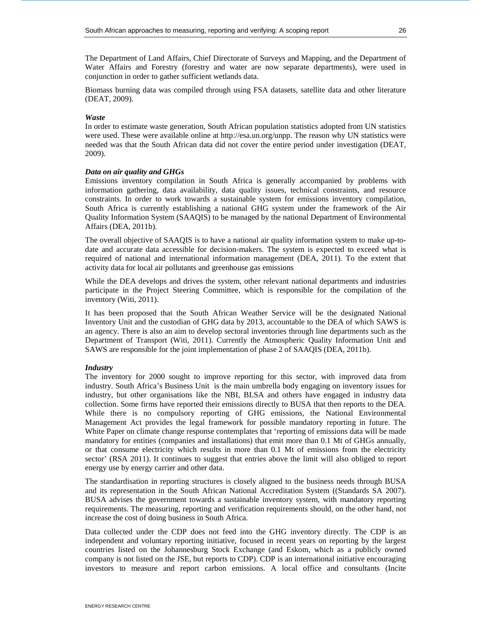The Department of Land Affairs, Chief Directorate of Surveys and Mapping, and the Department of Water Affairs and Forestry (forestry and water are now separate departments), were used in conjunction in order to gather sufficient wetlands data.

Biomass burning data was compiled through using FSA datasets, satellite data and other literature (DEAT, 2009).

## *Waste*

In order to estimate waste generation, South African population statistics adopted from UN statistics were used. These were available online at http://esa.un.org/unpp. The reason why UN statistics were needed was that the South African data did not cover the entire period under investigation (DEAT, 2009).

## *Data on air quality and GHGs*

Emissions inventory compilation in South Africa is generally accompanied by problems with information gathering, data availability, data quality issues, technical constraints, and resource constraints. In order to work towards a sustainable system for emissions inventory compilation, South Africa is currently establishing a national GHG system under the framework of the Air Quality Information System (SAAQIS) to be managed by the national Department of Environmental Affairs (DEA, 2011b).

The overall objective of SAAQIS is to have a national air quality information system to make up-todate and accurate data accessible for decision-makers. The system is expected to exceed what is required of national and international information management (DEA, 2011). To the extent that activity data for local air pollutants and greenhouse gas emissions

While the DEA develops and drives the system, other relevant national departments and industries participate in the Project Steering Committee, which is responsible for the compilation of the inventory (Witi, 2011).

It has been proposed that the South African Weather Service will be the designated National Inventory Unit and the custodian of GHG data by 2013, accountable to the DEA of which SAWS is an agency. There is also an aim to develop sectoral inventories through line departments such as the Department of Transport (Witi, 2011). Currently the Atmospheric Quality Information Unit and SAWS are responsible for the joint implementation of phase 2 of SAAQIS (DEA, 2011b).

## *Industry*

The inventory for 2000 sought to improve reporting for this sector, with improved data from industry. South Africa's Business Unit is the main umbrella body engaging on inventory issues for industry, but other organisations like the NBI, BLSA and others have engaged in industry data collection. Some firms have reported their emissions directly to BUSA that then reports to the DEA. While there is no compulsory reporting of GHG emissions, the National Environmental Management Act provides the legal framework for possible mandatory reporting in future. The White Paper on climate change response contemplates that 'reporting of emissions data will be made mandatory for entities (companies and installations) that emit more than 0.1 Mt of GHGs annually, or that consume electricity which results in more than 0.1 Mt of emissions from the electricity sector' (RSA 2011). It continues to suggest that entries above the limit will also obliged to report energy use by energy carrier and other data.

The standardisation in reporting structures is closely aligned to the business needs through BUSA and its representation in the South African National Accreditation System ((Standards SA 2007). BUSA advises the government towards a sustainable inventory system, with mandatory reporting requirements. The measuring, reporting and verification requirements should, on the other hand, not increase the cost of doing business in South Africa.

Data collected under the CDP does not feed into the GHG inventory directly. The CDP is an independent and voluntary reporting initiative, focused in recent years on reporting by the largest countries listed on the Johannesburg Stock Exchange (and Eskom, which as a publicly owned company is not listed on the JSE, but reports to CDP). CDP is an international initiative encouraging investors to measure and report carbon emissions. A local office and consultants (Incite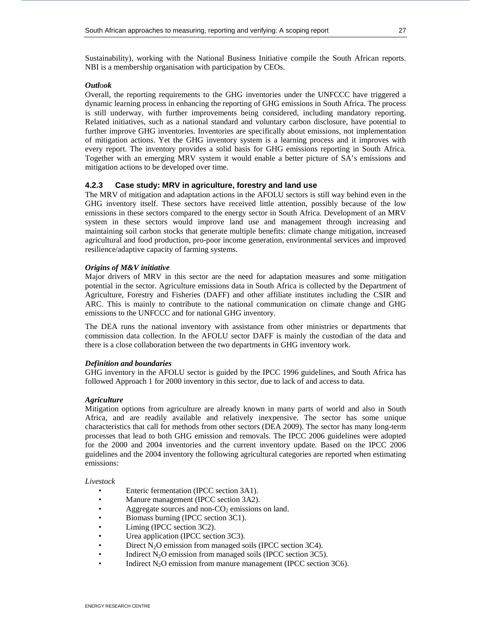Sustainability), working with the National Business Initiative compile the South African reports. NBI is a membership organisation with participation by CEOs.

## *Outl*o*ok*

Overall, the reporting requirements to the GHG inventories under the UNFCCC have triggered a dynamic learning process in enhancing the reporting of GHG emissions in South Africa. The process is still underway, with further improvements being considered, including mandatory reporting. Related initiatives, such as a national standard and voluntary carbon disclosure, have potential to further improve GHG inventories. Inventories are specifically about emissions, not implementation of mitigation actions. Yet the GHG inventory system is a learning process and it improves with every report. The inventory provides a solid basis for GHG emissions reporting in South Africa. Together with an emerging MRV system it would enable a better picture of SA's emissions and mitigation actions to be developed over time.

## **4.2.3 Case study: MRV in agriculture, forestry and land use**

The MRV of mitigation and adaptation actions in the AFOLU sectors is still way behind even in the GHG inventory itself. These sectors have received little attention, possibly because of the low emissions in these sectors compared to the energy sector in South Africa. Development of an MRV system in these sectors would improve land use and management through increasing and maintaining soil carbon stocks that generate multiple benefits: climate change mitigation, increased agricultural and food production, pro-poor income generation, environmental services and improved resilience/adaptive capacity of farming systems.

## *Origins of M&V initiative*

Major drivers of MRV in this sector are the need for adaptation measures and some mitigation potential in the sector. Agriculture emissions data in South Africa is collected by the Department of Agriculture, Forestry and Fisheries (DAFF) and other affiliate institutes including the CSIR and ARC. This is mainly to contribute to the national communication on climate change and GHG emissions to the UNFCCC and for national GHG inventory.

The DEA runs the national inventory with assistance from other ministries or departments that commission data collection. In the AFOLU sector DAFF is mainly the custodian of the data and there is a close collaboration between the two departments in GHG inventory work.

## *Definition and boundaries*

GHG inventory in the AFOLU sector is guided by the IPCC 1996 guidelines, and South Africa has followed Approach 1 for 2000 inventory in this sector, due to lack of and access to data.

## *Agriculture*

Mitigation options from agriculture are already known in many parts of world and also in South Africa, and are readily available and relatively inexpensive. The sector has some unique characteristics that call for methods from other sectors (DEA 2009). The sector has many long-term processes that lead to both GHG emission and removals. The IPCC 2006 guidelines were adopted for the 2000 and 2004 inventories and the current inventory update. Based on the IPCC 2006 guidelines and the 2004 inventory the following agricultural categories are reported when estimating emissions:

## *Livestock*

- Enteric fermentation (IPCC section 3A1).
- Manure management (IPCC section 3A2).
- Aggregate sources and non- $CO<sub>2</sub>$  emissions on land.
- Biomass burning (IPCC section 3C1).
- Liming (IPCC section 3C2).
- Urea application (IPCC section 3C3).
- Direct  $N_2O$  emission from managed soils (IPCC section 3C4).
- Indirect  $N_2O$  emission from managed soils (IPCC section 3C5).
- Indirect  $N_2O$  emission from manure management (IPCC section 3C6).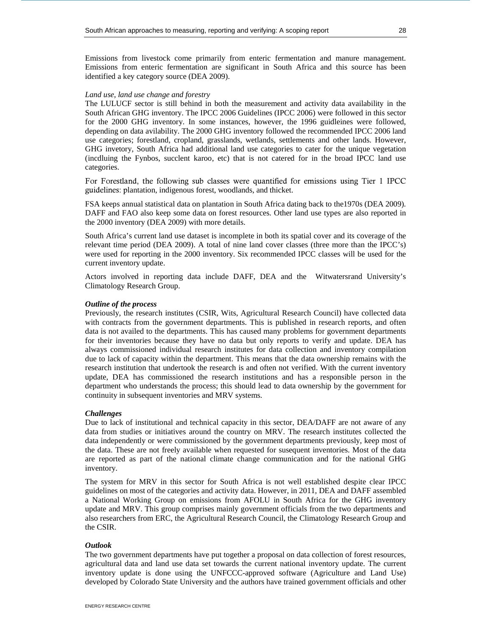Emissions from livestock come primarily from enteric fermentation and manure management. Emissions from enteric fermentation are significant in South Africa and this source has been identified a key category source (DEA 2009).

#### *Land use, land use change and forestry*

The LULUCF sector is still behind in both the measurement and activity data availability in the South African GHG inventory. The IPCC 2006 Guidelines (IPCC 2006) were followed in this sector for the 2000 GHG inventory. In some instances, however, the 1996 guidleines were followed, depending on data avilability. The 2000 GHG inventory followed the recommended IPCC 2006 land use categories; forestland, cropland, grasslands, wetlands, settlements and other lands. However, GHG invetory, South Africa had additional land use categories to cater for the unique vegetation (incdluing the Fynbos, succlent karoo, etc) that is not catered for in the broad IPCC land use categories.

For Forestland, the following sub classes were quantified for emissions using Tier 1 IPCC guidelines: plantation, indigenous forest, woodlands, and thicket.

FSA keeps annual statistical data on plantation in South Africa dating back to the1970s (DEA 2009). DAFF and FAO also keep some data on forest resources. Other land use types are also reported in the 2000 inventory (DEA 2009) with more details.

South Africa's current land use dataset is incomplete in both its spatial cover and its coverage of the relevant time period (DEA 2009). A total of nine land cover classes (three more than the IPCC's) were used for reporting in the 2000 inventory. Six recommended IPCC classes will be used for the current inventory update.

Actors involved in reporting data include DAFF, DEA and the Witwatersrand University's Climatology Research Group.

#### *Outline of the process*

Previously, the research institutes (CSIR, Wits, Agricultural Research Council) have collected data with contracts from the government departments. This is published in research reports, and often data is not availed to the departments. This has caused many problems for government departments for their inventories because they have no data but only reports to verify and update. DEA has always commissioned individual research institutes for data collection and inventory compilation due to lack of capacity within the department. This means that the data ownership remains with the research institution that undertook the research is and often not verified. With the current inventory update, DEA has commissioned the research institutions and has a responsible person in the department who understands the process; this should lead to data ownership by the government for continuity in subsequent inventories and MRV systems.

#### *Challenges*

Due to lack of institutional and technical capacity in this sector, DEA/DAFF are not aware of any data from studies or initiatives around the country on MRV. The research institutes collected the data independently or were commissioned by the government departments previously, keep most of the data. These are not freely available when requested for susequent inventories. Most of the data are reported as part of the national climate change communication and for the national GHG inventory.

The system for MRV in this sector for South Africa is not well established despite clear IPCC guidelines on most of the categories and activity data. However, in 2011, DEA and DAFF assembled a National Working Group on emissions from AFOLU in South Africa for the GHG inventory update and MRV. This group comprises mainly government officials from the two departments and also researchers from ERC, the Agricultural Research Council, the Climatology Research Group and the CSIR.

## *Outlook*

The two government departments have put together a proposal on data collection of forest resources, agricultural data and land use data set towards the current national inventory update. The current inventory update is done using the UNFCCC-approved software (Agriculture and Land Use) developed by Colorado State University and the authors have trained government officials and other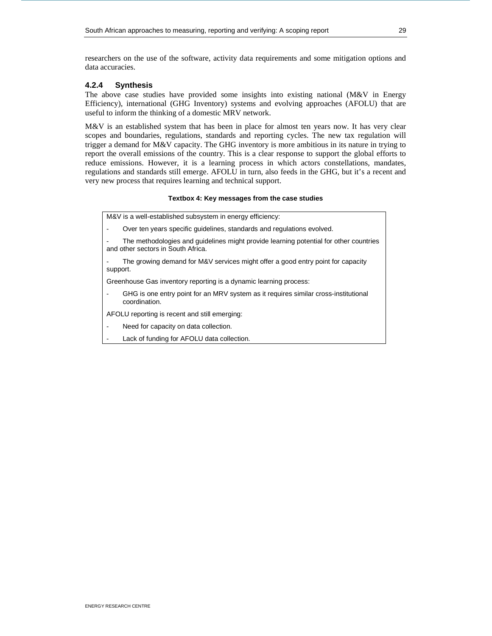researchers on the use of the software, activity data requirements and some mitigation options and data accuracies.

## **4.2.4 Synthesis**

The above case studies have provided some insights into existing national  $(M&V)$  in Energy Efficiency), international (GHG Inventory) systems and evolving approaches (AFOLU) that are useful to inform the thinking of a domestic MRV network.

M&V is an established system that has been in place for almost ten years now. It has very clear scopes and boundaries, regulations, standards and reporting cycles. The new tax regulation will trigger a demand for M&V capacity. The GHG inventory is more ambitious in its nature in trying to report the overall emissions of the country. This is a clear response to support the global efforts to reduce emissions. However, it is a learning process in which actors constellations, mandates, regulations and standards still emerge. AFOLU in turn, also feeds in the GHG, but it's a recent and very new process that requires learning and technical support.

## **Textbox 4: Key messages from the case studies**

M&V is a well-established subsystem in energy efficiency:

Over ten years specific guidelines, standards and regulations evolved.

The methodologies and guidelines might provide learning potential for other countries and other sectors in South Africa.

The growing demand for M&V services might offer a good entry point for capacity support.

Greenhouse Gas inventory reporting is a dynamic learning process:

GHG is one entry point for an MRV system as it requires similar cross-institutional coordination.

AFOLU reporting is recent and still emerging:

- Need for capacity on data collection.
- Lack of funding for AFOLU data collection.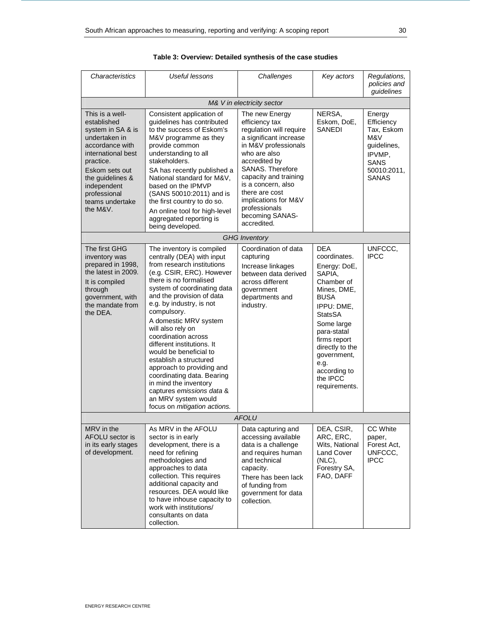| Characteristics                                                                                                                                                                                                                | Useful lessons                                                                                                                                                                                                                                                                                                                                                                                                                                                                                                                                                                     | Challenges                                                                                                                                                                                                                                                                                                     | Key actors                                                                                                                                                                                                                                                           | Regulations,<br>policies and<br>quidelines                                                                       |  |
|--------------------------------------------------------------------------------------------------------------------------------------------------------------------------------------------------------------------------------|------------------------------------------------------------------------------------------------------------------------------------------------------------------------------------------------------------------------------------------------------------------------------------------------------------------------------------------------------------------------------------------------------------------------------------------------------------------------------------------------------------------------------------------------------------------------------------|----------------------------------------------------------------------------------------------------------------------------------------------------------------------------------------------------------------------------------------------------------------------------------------------------------------|----------------------------------------------------------------------------------------------------------------------------------------------------------------------------------------------------------------------------------------------------------------------|------------------------------------------------------------------------------------------------------------------|--|
| M& V in electricity sector                                                                                                                                                                                                     |                                                                                                                                                                                                                                                                                                                                                                                                                                                                                                                                                                                    |                                                                                                                                                                                                                                                                                                                |                                                                                                                                                                                                                                                                      |                                                                                                                  |  |
| This is a well-<br>established<br>system in SA & is<br>undertaken in<br>accordance with<br>international best<br>practice.<br>Eskom sets out<br>the guidelines &<br>independent<br>professional<br>teams undertake<br>the M&V. | Consistent application of<br>quidelines has contributed<br>to the success of Eskom's<br>M&V programme as they<br>provide common<br>understanding to all<br>stakeholders.<br>SA has recently published a<br>National standard for M&V.<br>based on the IPMVP<br>(SANS 50010:2011) and is<br>the first country to do so.<br>An online tool for high-level<br>aggregated reporting is<br>being developed.                                                                                                                                                                             | The new Energy<br>efficiency tax<br>regulation will require<br>a significant increase<br>in M&V professionals<br>who are also<br>accredited by<br>SANAS. Therefore<br>capacity and training<br>is a concern, also<br>there are cost<br>implications for M&V<br>professionals<br>becoming SANAS-<br>accredited. | NERSA,<br>Eskom, DoE,<br><b>SANEDI</b>                                                                                                                                                                                                                               | Energy<br>Efficiency<br>Tax, Eskom<br>M&V<br>guidelines,<br>IPVMP,<br><b>SANS</b><br>50010:2011.<br><b>SANAS</b> |  |
|                                                                                                                                                                                                                                |                                                                                                                                                                                                                                                                                                                                                                                                                                                                                                                                                                                    | <b>GHG</b> Inventory                                                                                                                                                                                                                                                                                           |                                                                                                                                                                                                                                                                      |                                                                                                                  |  |
| The first GHG<br>inventory was<br>prepared in 1998.<br>the latest in 2009.<br>It is compiled<br>through<br>government, with<br>the mandate from<br>the DEA.                                                                    | The inventory is compiled<br>centrally (DEA) with input<br>from research institutions<br>(e.g. CSIR, ERC). However<br>there is no formalised<br>system of coordinating data<br>and the provision of data<br>e.g. by industry, is not<br>compulsory.<br>A domestic MRV system<br>will also rely on<br>coordination across<br>different institutions. It<br>would be beneficial to<br>establish a structured<br>approach to providing and<br>coordinating data. Bearing<br>in mind the inventory<br>captures emissions data &<br>an MRV system would<br>focus on mitigation actions. | Coordination of data<br>capturing<br>Increase linkages<br>between data derived<br>across different<br>government<br>departments and<br>industry.                                                                                                                                                               | <b>DFA</b><br>coordinates.<br>Energy: DoE,<br>SAPIA.<br>Chamber of<br>Mines, DME,<br><b>BUSA</b><br>IPPU: DME,<br><b>StatsSA</b><br>Some large<br>para-statal<br>firms report<br>directly to the<br>government,<br>e.g.<br>according to<br>the IPCC<br>requirements. | UNFCCC.<br><b>IPCC</b>                                                                                           |  |
| <i>AFOLU</i>                                                                                                                                                                                                                   |                                                                                                                                                                                                                                                                                                                                                                                                                                                                                                                                                                                    |                                                                                                                                                                                                                                                                                                                |                                                                                                                                                                                                                                                                      |                                                                                                                  |  |
| MRV in the<br>AFOLU sector is<br>in its early stages<br>of development.                                                                                                                                                        | As MRV in the AFOLU<br>sector is in early<br>development, there is a<br>need for refining<br>methodologies and<br>approaches to data<br>collection. This requires<br>additional capacity and<br>resources. DEA would like<br>to have inhouse capacity to<br>work with institutions/<br>consultants on data<br>collection.                                                                                                                                                                                                                                                          | Data capturing and<br>accessing available<br>data is a challenge<br>and requires human<br>and technical<br>capacity.<br>There has been lack<br>of funding from<br>government for data<br>collection.                                                                                                           | DEA, CSIR,<br>ARC, ERC,<br>Wits, National<br>Land Cover<br>$(NLC)$ ,<br>Forestry SA,<br>FAO, DAFF                                                                                                                                                                    | CC White<br>paper,<br>Forest Act,<br>UNFCCC,<br><b>IPCC</b>                                                      |  |

## **Table 3: Overview: Detailed synthesis of the case studies**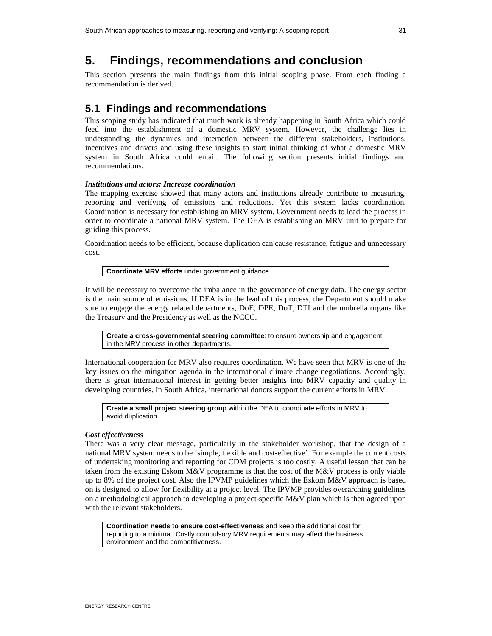# **5. Findings, recommendations and conclusion**

This section presents the main findings from this initial scoping phase. From each finding a recommendation is derived.

## **5.1 Findings and recommendations**

This scoping study has indicated that much work is already happening in South Africa which could feed into the establishment of a domestic MRV system. However, the challenge lies in understanding the dynamics and interaction between the different stakeholders, institutions, incentives and drivers and using these insights to start initial thinking of what a domestic MRV system in South Africa could entail. The following section presents initial findings and recommendations.

## *Institutions and actors: Increase coordination*

The mapping exercise showed that many actors and institutions already contribute to measuring, reporting and verifying of emissions and reductions. Yet this system lacks coordination. Coordination is necessary for establishing an MRV system. Government needs to lead the process in order to coordinate a national MRV system. The DEA is establishing an MRV unit to prepare for guiding this process.

Coordination needs to be efficient, because duplication can cause resistance, fatigue and unnecessary cost.

**Coordinate MRV efforts** under government guidance.

It will be necessary to overcome the imbalance in the governance of energy data. The energy sector is the main source of emissions. If DEA is in the lead of this process, the Department should make sure to engage the energy related departments, DoE, DPE, DoT, DTI and the umbrella organs like the Treasury and the Presidency as well as the NCCC.

**Create a cross-governmental steering committee**: to ensure ownership and engagement in the MRV process in other departments.

International cooperation for MRV also requires coordination. We have seen that MRV is one of the key issues on the mitigation agenda in the international climate change negotiations. Accordingly, there is great international interest in getting better insights into MRV capacity and quality in developing countries. In South Africa, international donors support the current efforts in MRV.

**Create a small project steering group** within the DEA to coordinate efforts in MRV to avoid duplication

## *Cost effectiveness*

There was a very clear message, particularly in the stakeholder workshop, that the design of a national MRV system needs to be 'simple, flexible and cost-effective'. For example the current costs of undertaking monitoring and reporting for CDM projects is too costly. A useful lesson that can be taken from the existing Eskom M&V programme is that the cost of the M&V process is only viable up to 8% of the project cost. Also the IPVMP guidelines which the Eskom M&V approach is based on is designed to allow for flexibility at a project level. The IPVMP provides overarching guidelines on a methodological approach to developing a project-specific M&V plan which is then agreed upon with the relevant stakeholders.

**Coordination needs to ensure cost-effectiveness** and keep the additional cost for reporting to a minimal. Costly compulsory MRV requirements may affect the business environment and the competitiveness.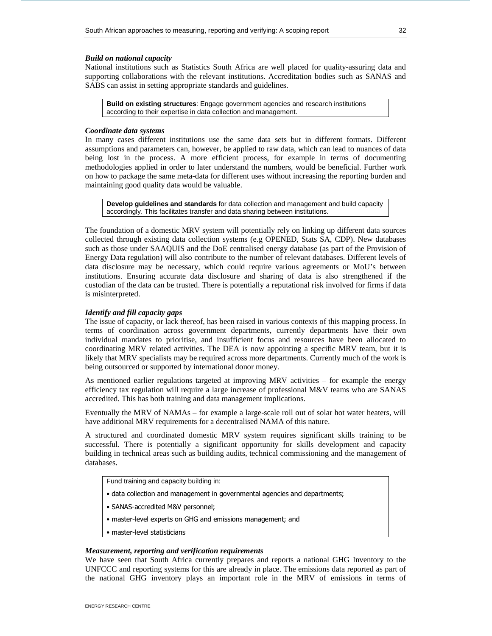## *Build on national capacity*

National institutions such as Statistics South Africa are well placed for quality-assuring data and supporting collaborations with the relevant institutions. Accreditation bodies such as SANAS and SABS can assist in setting appropriate standards and guidelines.

**Build on existing structures**: Engage government agencies and research institutions according to their expertise in data collection and management.

#### *Coordinate data systems*

In many cases different institutions use the same data sets but in different formats. Different assumptions and parameters can, however, be applied to raw data, which can lead to nuances of data being lost in the process. A more efficient process, for example in terms of documenting methodologies applied in order to later understand the numbers, would be beneficial. Further work on how to package the same meta-data for different uses without increasing the reporting burden and maintaining good quality data would be valuable.

**Develop guidelines and standards** for data collection and management and build capacity accordingly. This facilitates transfer and data sharing between institutions.

The foundation of a domestic MRV system will potentially rely on linking up different data sources collected through existing data collection systems (e.g OPENED, Stats SA, CDP). New databases such as those under SAAQUIS and the DoE centralised energy database (as part of the Provision of Energy Data regulation) will also contribute to the number of relevant databases. Different levels of data disclosure may be necessary, which could require various agreements or MoU's between institutions. Ensuring accurate data disclosure and sharing of data is also strengthened if the custodian of the data can be trusted. There is potentially a reputational risk involved for firms if data is misinterpreted.

## *Identify and fill capacity gaps*

The issue of capacity, or lack thereof, has been raised in various contexts of this mapping process. In terms of coordination across government departments, currently departments have their own individual mandates to prioritise, and insufficient focus and resources have been allocated to coordinating MRV related activities. The DEA is now appointing a specific MRV team, but it is likely that MRV specialists may be required across more departments. Currently much of the work is being outsourced or supported by international donor money.

As mentioned earlier regulations targeted at improving MRV activities – for example the energy efficiency tax regulation will require a large increase of professional M&V teams who are SANAS accredited. This has both training and data management implications.

Eventually the MRV of NAMAs – for example a large-scale roll out of solar hot water heaters, will have additional MRV requirements for a decentralised NAMA of this nature.

A structured and coordinated domestic MRV system requires significant skills training to be successful. There is potentially a significant opportunity for skills development and capacity building in technical areas such as building audits, technical commissioning and the management of databases.

Fund training and capacity building in:

- data collection and management in governmental agencies and departments;
- SANAS-accredited M&V personnel;
- master-level experts on GHG and emissions management; and
- master-level statisticians

## *Measurement, reporting and verification requirements*

We have seen that South Africa currently prepares and reports a national GHG Inventory to the UNFCCC and reporting systems for this are already in place. The emissions data reported as part of the national GHG inventory plays an important role in the MRV of emissions in terms of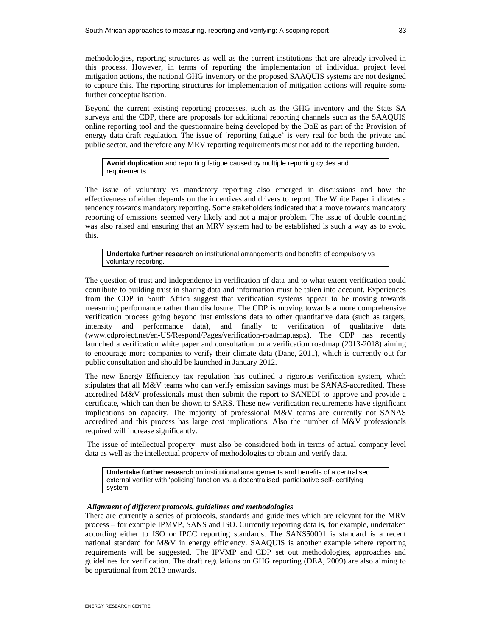methodologies, reporting structures as well as the current institutions that are already involved in this process. However, in terms of reporting the implementation of individual project level mitigation actions, the national GHG inventory or the proposed SAAQUIS systems are not designed to capture this. The reporting structures for implementation of mitigation actions will require some further conceptualisation.

Beyond the current existing reporting processes, such as the GHG inventory and the Stats SA surveys and the CDP, there are proposals for additional reporting channels such as the SAAQUIS online reporting tool and the questionnaire being developed by the DoE as part of the Provision of energy data draft regulation. The issue of 'reporting fatigue' is very real for both the private and public sector, and therefore any MRV reporting requirements must not add to the reporting burden.

**Avoid duplication** and reporting fatigue caused by multiple reporting cycles and requirements.

The issue of voluntary vs mandatory reporting also emerged in discussions and how the effectiveness of either depends on the incentives and drivers to report. The White Paper indicates a tendency towards mandatory reporting. Some stakeholders indicated that a move towards mandatory reporting of emissions seemed very likely and not a major problem. The issue of double counting was also raised and ensuring that an MRV system had to be established is such a way as to avoid this.

**Undertake further research** on institutional arrangements and benefits of compulsory vs voluntary reporting.

The question of trust and independence in verification of data and to what extent verification could contribute to building trust in sharing data and information must be taken into account. Experiences from the CDP in South Africa suggest that verification systems appear to be moving towards measuring performance rather than disclosure. The CDP is moving towards a more comprehensive verification process going beyond just emissions data to other quantitative data (such as targets, intensity and performance data), and finally to verification of qualitative data (www.cdproject.net/en-US/Respond/Pages/verification-roadmap.aspx). The CDP has recently launched a verification white paper and consultation on a verification roadmap (2013-2018) aiming to encourage more companies to verify their climate data (Dane, 2011), which is currently out for public consultation and should be launched in January 2012.

The new Energy Efficiency tax regulation has outlined a rigorous verification system, which stipulates that all M&V teams who can verify emission savings must be SANAS-accredited. These accredited M&V professionals must then submit the report to SANEDI to approve and provide a certificate, which can then be shown to SARS. These new verification requirements have significant implications on capacity. The majority of professional M&V teams are currently not SANAS accredited and this process has large cost implications. Also the number of M&V professionals required will increase significantly.

 The issue of intellectual property must also be considered both in terms of actual company level data as well as the intellectual property of methodologies to obtain and verify data.

**Undertake further research** on institutional arrangements and benefits of a centralised external verifier with 'policing' function vs. a decentralised, participative self- certifying system.

## *Alignment of different protocols, guidelines and methodologies*

There are currently a series of protocols, standards and guidelines which are relevant for the MRV process – for example IPMVP, SANS and ISO. Currently reporting data is, for example, undertaken according either to ISO or IPCC reporting standards. The SANS50001 is standard is a recent national standard for M&V in energy efficiency. SAAQUIS is another example where reporting requirements will be suggested. The IPVMP and CDP set out methodologies, approaches and guidelines for verification. The draft regulations on GHG reporting (DEA, 2009) are also aiming to be operational from 2013 onwards.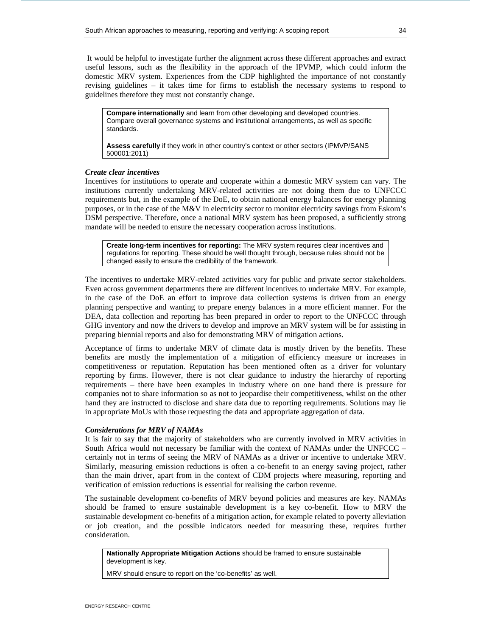It would be helpful to investigate further the alignment across these different approaches and extract useful lessons, such as the flexibility in the approach of the IPVMP, which could inform the domestic MRV system. Experiences from the CDP highlighted the importance of not constantly revising guidelines – it takes time for firms to establish the necessary systems to respond to guidelines therefore they must not constantly change.

**Compare internationally** and learn from other developing and developed countries. Compare overall governance systems and institutional arrangements, as well as specific standards.

**Assess carefully** if they work in other country's context or other sectors (IPMVP/SANS 500001:2011)

## *Create clear incentives*

Incentives for institutions to operate and cooperate within a domestic MRV system can vary. The institutions currently undertaking MRV-related activities are not doing them due to UNFCCC requirements but, in the example of the DoE, to obtain national energy balances for energy planning purposes, or in the case of the M&V in electricity sector to monitor electricity savings from Eskom's DSM perspective. Therefore, once a national MRV system has been proposed, a sufficiently strong mandate will be needed to ensure the necessary cooperation across institutions.

**Create long-term incentives for reporting:** The MRV system requires clear incentives and regulations for reporting. These should be well thought through, because rules should not be changed easily to ensure the credibility of the framework.

The incentives to undertake MRV-related activities vary for public and private sector stakeholders. Even across government departments there are different incentives to undertake MRV. For example, in the case of the DoE an effort to improve data collection systems is driven from an energy planning perspective and wanting to prepare energy balances in a more efficient manner. For the DEA, data collection and reporting has been prepared in order to report to the UNFCCC through GHG inventory and now the drivers to develop and improve an MRV system will be for assisting in preparing biennial reports and also for demonstrating MRV of mitigation actions.

Acceptance of firms to undertake MRV of climate data is mostly driven by the benefits. These benefits are mostly the implementation of a mitigation of efficiency measure or increases in competitiveness or reputation. Reputation has been mentioned often as a driver for voluntary reporting by firms. However, there is not clear guidance to industry the hierarchy of reporting requirements – there have been examples in industry where on one hand there is pressure for companies not to share information so as not to jeopardise their competitiveness, whilst on the other hand they are instructed to disclose and share data due to reporting requirements. Solutions may lie in appropriate MoUs with those requesting the data and appropriate aggregation of data.

## *Considerations for MRV of NAMAs*

It is fair to say that the majority of stakeholders who are currently involved in MRV activities in South Africa would not necessary be familiar with the context of NAMAs under the UNFCCC – certainly not in terms of seeing the MRV of NAMAs as a driver or incentive to undertake MRV. Similarly, measuring emission reductions is often a co-benefit to an energy saving project, rather than the main driver, apart from in the context of CDM projects where measuring, reporting and verification of emission reductions is essential for realising the carbon revenue.

The sustainable development co-benefits of MRV beyond policies and measures are key. NAMAs should be framed to ensure sustainable development is a key co-benefit. How to MRV the sustainable development co-benefits of a mitigation action, for example related to poverty alleviation or job creation, and the possible indicators needed for measuring these, requires further consideration.

**Nationally Appropriate Mitigation Actions** should be framed to ensure sustainable development is key.

MRV should ensure to report on the 'co-benefits' as well.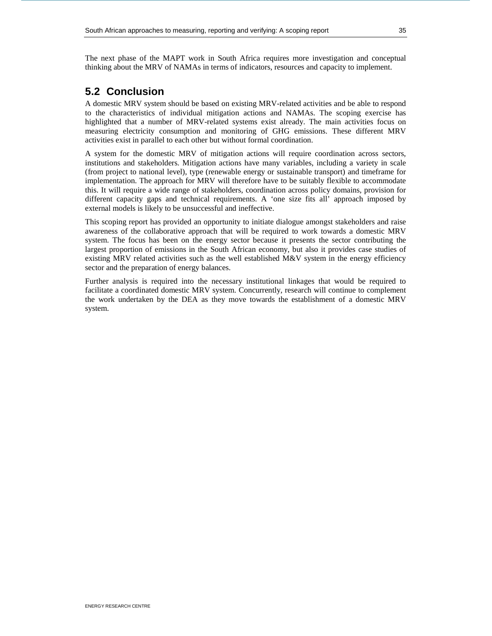The next phase of the MAPT work in South Africa requires more investigation and conceptual thinking about the MRV of NAMAs in terms of indicators, resources and capacity to implement.

# **5.2 Conclusion**

A domestic MRV system should be based on existing MRV-related activities and be able to respond to the characteristics of individual mitigation actions and NAMAs. The scoping exercise has highlighted that a number of MRV-related systems exist already. The main activities focus on measuring electricity consumption and monitoring of GHG emissions. These different MRV activities exist in parallel to each other but without formal coordination.

A system for the domestic MRV of mitigation actions will require coordination across sectors, institutions and stakeholders. Mitigation actions have many variables, including a variety in scale (from project to national level), type (renewable energy or sustainable transport) and timeframe for implementation. The approach for MRV will therefore have to be suitably flexible to accommodate this. It will require a wide range of stakeholders, coordination across policy domains, provision for different capacity gaps and technical requirements. A 'one size fits all' approach imposed by external models is likely to be unsuccessful and ineffective.

This scoping report has provided an opportunity to initiate dialogue amongst stakeholders and raise awareness of the collaborative approach that will be required to work towards a domestic MRV system. The focus has been on the energy sector because it presents the sector contributing the largest proportion of emissions in the South African economy, but also it provides case studies of existing MRV related activities such as the well established  $M\&V$  system in the energy efficiency sector and the preparation of energy balances.

Further analysis is required into the necessary institutional linkages that would be required to facilitate a coordinated domestic MRV system. Concurrently, research will continue to complement the work undertaken by the DEA as they move towards the establishment of a domestic MRV system.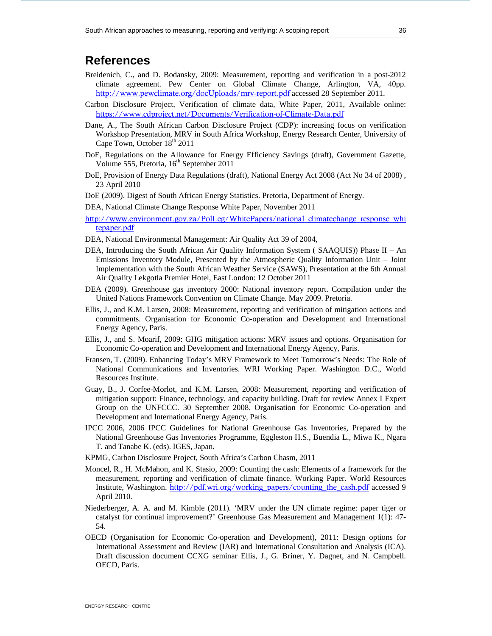# **References**

- Breidenich, C., and D. Bodansky, 2009: Measurement, reporting and verification in a post-2012 climate agreement. Pew Center on Global Climate Change, Arlington, VA, 40pp. http://www.pewclimate.org/docUploads/mrv-report.pdf accessed 28 September 2011.
- Carbon Disclosure Project, Verification of climate data, White Paper, 2011, Available online: https://www.cdproject.net/Documents/Verification-of-Climate-Data.pdf
- Dane, A., The South African Carbon Disclosure Project (CDP): increasing focus on verification Workshop Presentation, MRV in South Africa Workshop, Energy Research Center, University of Cape Town, October  $18<sup>th</sup> 2011$
- DoE, Regulations on the Allowance for Energy Efficiency Savings (draft), Government Gazette, Volume 555, Pretoria,  $16<sup>th</sup>$  September 2011
- DoE, Provision of Energy Data Regulations (draft), National Energy Act 2008 (Act No 34 of 2008) , 23 April 2010
- DoE (2009). Digest of South African Energy Statistics. Pretoria, Department of Energy.
- DEA, National Climate Change Response White Paper, November 2011
- http://www.environment.gov.za/PolLeg/WhitePapers/national\_climatechange\_response\_whi tepaper.pdf
- DEA, National Environmental Management: Air Quality Act 39 of 2004,
- DEA, Introducing the South African Air Quality Information System ( SAAQUIS)) Phase II An Emissions Inventory Module, Presented by the Atmospheric Quality Information Unit – Joint Implementation with the South African Weather Service (SAWS), Presentation at the 6th Annual Air Quality Lekgotla Premier Hotel, East London: 12 October 2011
- DEA (2009). Greenhouse gas inventory 2000: National inventory report. Compilation under the United Nations Framework Convention on Climate Change. May 2009. Pretoria.
- Ellis, J., and K.M. Larsen, 2008: Measurement, reporting and verification of mitigation actions and commitments. Organisation for Economic Co-operation and Development and International Energy Agency, Paris.
- Ellis, J., and S. Moarif, 2009: GHG mitigation actions: MRV issues and options. Organisation for Economic Co-operation and Development and International Energy Agency, Paris.
- Fransen, T. (2009). Enhancing Today's MRV Framework to Meet Tomorrow's Needs: The Role of National Communications and Inventories. WRI Working Paper. Washington D.C., World Resources Institute.
- Guay, B., J. Corfee-Morlot, and K.M. Larsen, 2008: Measurement, reporting and verification of mitigation support: Finance, technology, and capacity building. Draft for review Annex I Expert Group on the UNFCCC. 30 September 2008. Organisation for Economic Co-operation and Development and International Energy Agency, Paris.
- IPCC 2006, 2006 IPCC Guidelines for National Greenhouse Gas Inventories, Prepared by the National Greenhouse Gas Inventories Programme, Eggleston H.S., Buendia L., Miwa K., Ngara T. and Tanabe K. (eds). IGES, Japan.
- KPMG, Carbon Disclosure Project, South Africa's Carbon Chasm, 2011
- Moncel, R., H. McMahon, and K. Stasio, 2009: Counting the cash: Elements of a framework for the measurement, reporting and verification of climate finance. Working Paper. World Resources Institute, Washington. http://pdf.wri.org/working\_papers/counting\_the\_cash.pdf accessed 9 April 2010.
- Niederberger, A. A. and M. Kimble (2011). 'MRV under the UN climate regime: paper tiger or catalyst for continual improvement?' Greenhouse Gas Measurement and Management 1(1): 47- 54.
- OECD (Organisation for Economic Co-operation and Development), 2011: Design options for International Assessment and Review (IAR) and International Consultation and Analysis (ICA). Draft discussion document CCXG seminar Ellis, J., G. Briner, Y. Dagnet, and N. Campbell. OECD, Paris.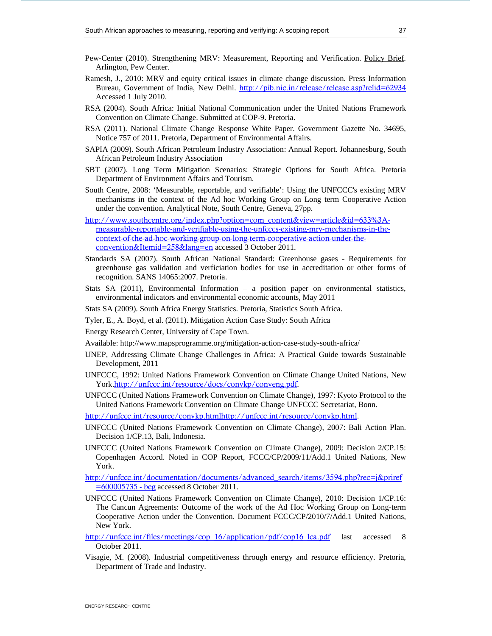- Pew-Center (2010). Strengthening MRV: Measurement, Reporting and Verification. Policy Brief. Arlington, Pew Center.
- Ramesh, J., 2010: MRV and equity critical issues in climate change discussion. Press Information Bureau, Government of India, New Delhi. http://pib.nic.in/release/release.asp?relid=62934 Accessed 1 July 2010.
- RSA (2004). South Africa: Initial National Communication under the United Nations Framework Convention on Climate Change. Submitted at COP-9. Pretoria.
- RSA (2011). National Climate Change Response White Paper. Government Gazette No. 34695, Notice 757 of 2011. Pretoria, Department of Environmental Affairs.
- SAPIA (2009). South African Petroleum Industry Association: Annual Report. Johannesburg, South African Petroleum Industry Association
- SBT (2007). Long Term Mitigation Scenarios: Strategic Options for South Africa. Pretoria Department of Environment Affairs and Tourism.
- South Centre, 2008: 'Measurable, reportable, and verifiable': Using the UNFCCC's existing MRV mechanisms in the context of the Ad hoc Working Group on Long term Cooperative Action under the convention. Analytical Note, South Centre, Geneva, 27pp.
- http://www.southcentre.org/index.php?option=com\_content&view=article&id=633%3Ameasurable-reportable-and-verifiable-using-the-unfcccs-existing-mrv-mechanisms-in-thecontext-of-the-ad-hoc-working-group-on-long-term-cooperative-action-under-theconvention&Itemid=258&lang=en accessed 3 October 2011.
- Standards SA (2007). South African National Standard: Greenhouse gases Requirements for greenhouse gas validation and verficiation bodies for use in accreditation or other forms of recognition. SANS 14065:2007. Pretoria.
- Stats SA (2011), Environmental Information a position paper on environmental statistics, environmental indicators and environmental economic accounts, May 2011
- Stats SA (2009). South Africa Energy Statistics. Pretoria, Statistics South Africa.
- Tyler, E., A. Boyd, et al. (2011). Mitigation Action Case Study: South Africa
- Energy Research Center, University of Cape Town.
- Available: http://www.mapsprogramme.org/mitigation-action-case-study-south-africa/
- UNEP, Addressing Climate Change Challenges in Africa: A Practical Guide towards Sustainable Development, 2011
- UNFCCC, 1992: United Nations Framework Convention on Climate Change United Nations, New York.http://unfccc.int/resource/docs/convkp/conveng.pdf.
- UNFCCC (United Nations Framework Convention on Climate Change), 1997: Kyoto Protocol to the United Nations Framework Convention on Climate Change UNFCCC Secretariat, Bonn.

http://unfccc.int/resource/convkp.htmlhttp://unfccc.int/resource/convkp.html.

- UNFCCC (United Nations Framework Convention on Climate Change), 2007: Bali Action Plan. Decision 1/CP.13, Bali, Indonesia.
- UNFCCC (United Nations Framework Convention on Climate Change), 2009: Decision 2/CP.15: Copenhagen Accord. Noted in COP Report, FCCC/CP/2009/11/Add.1 United Nations, New York.

http://unfccc.int/documentation/documents/advanced\_search/items/3594.php?rec=j&priref =600005735 - beg accessed 8 October 2011.

- UNFCCC (United Nations Framework Convention on Climate Change), 2010: Decision 1/CP.16: The Cancun Agreements: Outcome of the work of the Ad Hoc Working Group on Long-term Cooperative Action under the Convention. Document FCCC/CP/2010/7/Add.1 United Nations, New York.
- http://unfccc.int/files/meetings/cop\_16/application/pdf/cop16\_lca.pdf last accessed 8 October 2011.
- Visagie, M. (2008). Industrial competitiveness through energy and resource efficiency. Pretoria, Department of Trade and Industry.